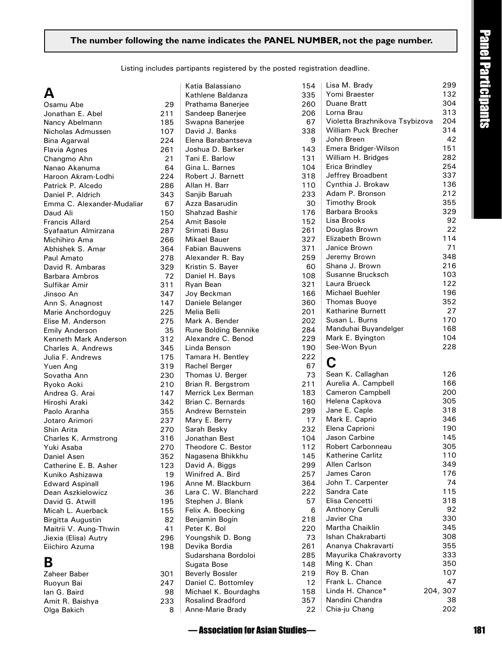#### **The number following the name indicates the PANEL number, not the page number.**

Listing includes partipants registered by the posted registration deadline.

301<br>247

## **A**

| Osamu Abe                              | 29         |
|----------------------------------------|------------|
| Jonathan E. Abel                       | 211        |
| Nancy Abelmann                         | 185        |
| Nicholas Admussen                      | 107        |
| Bina Agarwal                           | 224        |
| Flavia Agnes                           | 261        |
| Changmo Ahn                            | 21         |
| Nanao Akanuma                          | 64         |
| Haroon Akram-Lodhi                     | 224        |
| Patrick P. Alcedo                      | 286        |
| Daniel P. Aldrich                      | 343        |
| Emma C. Alexander-Mudaliar             | 67         |
| Daud Ali                               | 150        |
| <b>Francis Allard</b>                  | 254        |
| Syafaatun Almirzana                    | 287        |
| Michihiro Ama                          | 266        |
| Abhishek S. Amar                       | 364        |
| Paul Amato                             | 278        |
| David R. Ambaras                       | 329        |
| <b>Barbara Ambros</b>                  | 72         |
| Sulfikar Amir                          | 311        |
| Jinsoo An                              | 347        |
| Ann S. Anagnost                        | 147        |
| Marie Anchordoguy                      | 225        |
| Elise M. Anderson                      | 275        |
| <b>Emily Anderson</b>                  | 35         |
| Kenneth Mark Anderson                  | 312        |
|                                        |            |
| Charles A. Andrews<br>Julia F. Andrews | 345<br>175 |
|                                        | 319        |
| Yuen Ang                               |            |
| Sovatha Ann                            | 230        |
| Ryoko Aoki                             | 210        |
| Andrea G. Arai                         | 147        |
| Hiroshi Araki                          | 342        |
| Paolo Aranha                           | 355        |
| Jotaro Arimori                         | 237        |
| Shin Arita                             | 270        |
| Charles K. Armstrong                   | 316        |
| Yuki Asaba                             | 270        |
| Daniel Asen                            | 352        |
| Catherine E. B. Asher                  | 123        |
| Kuniko Ashizawa                        | 19         |
| <b>Edward Aspinall</b>                 | 196        |
| Dean Aszkielowicz                      | 36         |
| David G. Atwill                        | 195        |
| Micah L. Auerback                      | 155        |
| <b>Birgitta Augustin</b>               | 82         |
| Maitrii V. Aung-Thwin                  | 41         |
| Jiexia (Elisa) Autry                   | 296        |
| Eiichiro Azuma                         | 198        |
|                                        |            |

### **B**

| Zaheer Baber    | 301 |
|-----------------|-----|
| Ruoyun Bai      | 247 |
| lan G. Baird    | 98  |
| Amit R. Baishya | 233 |
| Olga Bakich     | 8   |
|                 |     |

| Katia Balassiano         | 154 |   |
|--------------------------|-----|---|
| Kathlene Baldanza        | 335 |   |
| Prathama Banerjee        | 260 |   |
| Sandeep Banerjee         | 206 |   |
| Swapna Banerjee          | 67  |   |
| David J. Banks           | 338 |   |
| Elena Barabantseva       |     |   |
|                          |     | 9 |
| Joshua D. Barker         | 143 |   |
| Tani E. Barlow           | 131 |   |
| Gina L. Barnes           | 104 |   |
| Robert J. Barnett        | 318 |   |
| Allan H. Barr            | 110 |   |
| Sanjib Baruah            | 233 |   |
| Azza Basarudin           | 30  |   |
| <b>Shahzad Bashir</b>    | 176 |   |
| Amit Basole              | 152 |   |
|                          |     |   |
| Srimati Basu             | 261 |   |
| Mikael Bauer             | 327 |   |
| <b>Fabian Bauwens</b>    | 371 |   |
| Alexander R. Bay         | 259 |   |
| Kristin S. Bayer         | 60  |   |
| Daniel H. Bays           | 108 |   |
| Ryan Bean                | 321 |   |
| Joy Beckman              | 166 |   |
|                          | 360 |   |
| Daniele Belanger         |     |   |
| Melia Belli              | 201 |   |
| Mark A. Bender           | 202 |   |
| Rune Bolding Bennike     | 284 |   |
| Alexandre C. Benod       | 229 |   |
| Linda Benson             | 190 |   |
| Tamara H. Bentley        | 222 |   |
| Rachel Berger            | 67  |   |
| Thomas U. Berger         | 73  |   |
| Brian R. Bergstrom       | 211 |   |
| Merrick Lex Berman       | 183 |   |
| Brian C. Bernards        | 160 |   |
|                          |     |   |
| Andrew Bernstein         | 299 |   |
| Mary E. Berry            | 17  |   |
| Sarah Besky              | 232 |   |
| Jonathan Best            | 104 |   |
| Theodore C. Bestor       | 112 |   |
| Nagasena Bhikkhu         | 145 |   |
| David A. Biggs           | 299 |   |
| Winifred A. Bird         | 257 |   |
| Anne M. Blackburn        | 364 |   |
| Lara C. W. Blanchard     | 222 |   |
|                          |     |   |
| Stephen J. Blank         | 57  |   |
| Felix A. Boecking        |     | 6 |
| Benjamin Bogin           | 218 |   |
| Peter K. Bol             | 220 |   |
| Youngshik D. Bong        | 73  |   |
| Devika Bordia            | 261 |   |
| Sudarshana Bordoloi      | 285 |   |
| Sugata Bose              | 148 |   |
| <b>Beverly Bossler</b>   | 219 |   |
| Daniel C. Bottomley      | 12  |   |
|                          | 158 |   |
| Michael K. Bourdaghs     |     |   |
| <b>Rosalind Bradford</b> | 357 |   |
| Anne-Marie Brady         | 22  |   |

| ame indicates the PANEL NUMBER, not the page number.   |     |                                |          |
|--------------------------------------------------------|-----|--------------------------------|----------|
| ipants registered by the posted registration deadline. |     |                                |          |
| atia Balassiano)                                       | 154 | Lisa M. Brady                  | 299      |
| athlene Baldanza                                       | 335 | Yomi Braester                  | 132      |
| rathama Banerjee                                       | 260 | Duane Bratt                    | 304      |
| Sandeep Banerjee                                       | 206 | Lorna Brau                     | 313      |
| Swapna Banerjee                                        | 67  | Violetta Brazhnikova Tsybizova | 204      |
| avid J. Banks                                          | 338 | William Puck Brecher           | 314      |
| lena Barabantseva:                                     | 9   | John Breen                     | 42       |
| loshua D. Barker                                       | 143 | Emera Bridger-Wilson           | 151      |
| ani E. Barlow                                          | 131 | William H. Bridges             | 282      |
| Gina L. Barnes                                         | 104 | Erica Brindley                 | 254      |
| Robert J. Barnett                                      | 318 | Jeffrey Broadbent              | 337      |
| <b>Illan H. Barr</b>                                   | 110 | Cynthia J. Brokaw              | 136      |
| ianjib Baruah                                          | 233 | Adam P. Bronson                | 212      |
| \zza Basarudin                                         | 30  | <b>Timothy Brook</b>           | 355      |
| Shahzad Bashir                                         | 176 | Barbara Brooks                 | 329      |
| <b>Amit Basole</b>                                     | 152 | Lisa Brooks                    | 92       |
| irimati Basu                                           | 261 | Douglas Brown                  | 22       |
| <i>A</i> ikael Bauer                                   | 327 | Elizabeth Brown                | 114      |
| abian Bauwens                                          | 371 | Janice Brown                   | 71       |
| <b>Nexander R. Bay</b>                                 | 259 | Jeremy Brown                   | 348      |
| ristin S. Bayer)                                       | 60  | Shana J. Brown                 | 216      |
| aniel H. Bays                                          | 108 | Susanne Brucksch               | 103      |
| lyan Bean                                              | 321 | Laura Brueck                   | 122      |
| loy Beckman                                            | 166 | Michael Buehler                | 196      |
| )aniele Belanger                                       | 360 | <b>Thomas Buoye</b>            | 352      |
| <i>l</i> elia Belli                                    | 201 | Katharine Burnett              | 27       |
| Aark A. Bender                                         | 202 | Susan L. Burns                 | 170      |
| lune Bolding Bennike                                   | 284 | Manduhai Buyandelger           | 168      |
| <b>Nexandre C. Benod</b>                               | 229 | Mark E. Byington               | 104      |
| inda Benson                                            | 190 | See-Won Byun                   | 228      |
| amara H. Bentley                                       | 222 | C                              |          |
| Rachel Berger                                          | 67  |                                |          |
| homas U. Berger                                        | 73  | Sean K. Callaghan              | 126      |
| Brian R. Bergstrom                                     | 211 | Aurelia A. Campbell            | 166      |
| <i>Aerrick Lex Berman</i>                              | 183 | Cameron Campbell               | 200      |
| Brian C. Bernards                                      | 160 | Helena Capkova                 | 305      |
| <b>Andrew Bernstein</b>                                | 299 | Jane E. Caple                  | 318      |
| Aary E. Berry                                          | 17  | Mark E. Caprio                 | 346      |
| iarah Besky                                            | 232 | Elena Caprioni                 | 190      |
| <b>Onathan Best</b>                                    | 104 | Jason Carbine                  | 145      |
| heodore C. Bestor                                      | 112 | Robert Carbonneau              | 305      |
| lagasena Bhikkhu                                       | 145 | Katherine Carlitz              | 110      |
| avid A. Biggs                                          | 299 | Allen Carlson                  | 349      |
| Vinifred A. Bird                                       | 257 | James Caron                    | 176      |
| Anne M. Blackburn                                      | 364 | John T. Carpenter              | 74       |
| ara C. W. Blanchard                                    | 222 | Sandra Cate                    | 115      |
| Stephen J. Blank                                       | 57  | Elisa Cencetti                 | 318      |
| elix A. Boecking                                       | 6   | Anthony Cerulli                | 92       |
| Benjamin Bogin                                         | 218 | Javier Cha                     | 330      |
| eter K. Bol'                                           | 220 | Martha Chaiklin                | 345      |
| 'oungshik D. Bong                                      | 73  | Ishan Chakrabarti              | 308      |
| )evika Bordia                                          | 261 | Ananya Chakravarti             | 355      |
| Sudarshana Bordoloi                                    | 285 | Mayurika Chakravorty           | 333      |
| Sugata Bose                                            | 148 | Ming K. Chan                   | 350      |
| Beverly Bossler                                        | 219 | Roy B. Chan                    | 107      |
| Janiel C. Bottomley                                    | 12  | Frank L. Chance                | 47       |
| Aichael K. Bourdaghs                                   | 158 | Linda H. Chance*               | 204, 307 |
| osalind Bradford                                       | 357 | Nandini Chandra                | 38       |
| Anne-Marie Brady                                       | 22  | Chia-ju Chang                  | 202      |
|                                                        |     |                                |          |
| — Association for Asian Studies—                       |     |                                |          |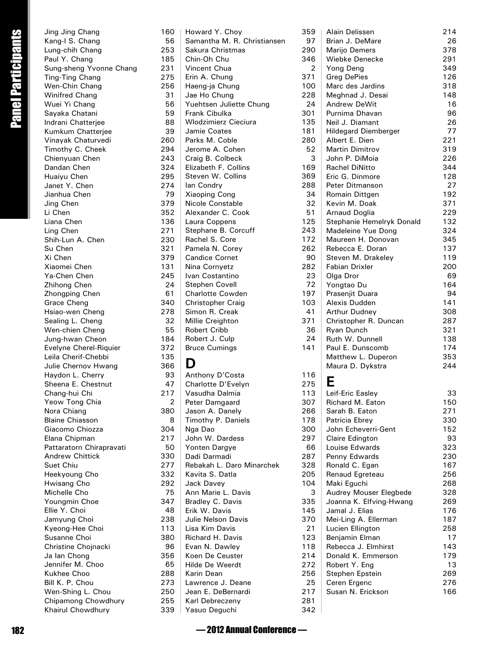| Jing Jing Chang          | 160            |
|--------------------------|----------------|
| Kang-I S. Chang          | 56             |
| Lung-chih Chang          | 253            |
| Paul Y. Chang            | 185            |
| Sung-sheng Yvonne Chang  | 231            |
| Ting-Ting Chang          | 275            |
|                          |                |
| Wen-Chin Chang           | 256            |
| Winifred Chang           | 31             |
| Wuei Yi Chang            | 56             |
| Sayaka Chatani           | 59             |
| Indrani Chatterjee       | 88             |
| Kumkum Chatterjee        | 39             |
| Vinayak Chaturvedi       | 260            |
| Timothy C. Cheek         | 294            |
| Chienyuan Chen           | 243            |
| Dandan Chen              | 324            |
| Huaiyu Chen              | 295            |
| Janet Y. Chen            | 274            |
|                          |                |
| Jianhua Chen             | 79             |
| Jing Chen                | 379            |
| Li Chen                  | 352            |
| Liana Chen               | 136            |
| Ling Chen                | 271            |
| Shih-Lun A. Chen         | 230            |
| Su Chen                  | 321            |
| Xi Chen                  | 379            |
| Xiaomei Chen             | 131            |
| Ya-Chen Chen             | 245            |
|                          | 24             |
| Zhihong Chen             |                |
| Zhongping Chen           | 61             |
| <b>Grace Cheng</b>       | 340            |
| Hsiao-wen Cheng          | 278            |
| Sealing L. Cheng         | 32             |
| Wen-chien Cheng          | 55             |
| Jung-hwan Cheon          | 184            |
| Evelyne Cherel-Riquier   | 372            |
| Leila Cherif-Chebbi      | 135            |
| Julie Chernov Hwang      | 366            |
| Haydon L. Cherry         | 93             |
| Sheena E. Chestnut       | 47             |
|                          |                |
| Chang-hui Chi            | 217            |
| Yeow Tong Chia           | $\overline{c}$ |
| Nora Chiang              | 380            |
| <b>Blaine Chiasson</b>   | 8              |
| Giacomo Chiozza          | 304            |
| Elana Chipman            | 217            |
| Pattaratorn Chirapravati | 50             |
| <b>Andrew Chittick</b>   | 330            |
| Suet Chiu                | 277            |
|                          | 332            |
| Heekyoung Cho            |                |
| Hwisang Cho              | 292            |
| Michelle Cho             | 75             |
| Youngmin Choe            | 347            |
| Ellie Y. Choi            | 48             |
| Jamyung Choi             | 238            |
| Kyeong-Hee Choi          | 113            |
| Susanne Choi             | 380            |
| Christine Chojnacki      | 96             |
| Ja lan Chong             | 356            |
| Jennifer M. Choo         | 65             |
|                          |                |
| Kukhee Choo              | 288            |
| Bill K. P. Chou          | 273            |
| Wen-Shing L. Chou        | 250            |
| Chipamong Chowdhury      | 255            |
| Khairul Chowdhury        | 339            |

|                    | Jing Jing Chang                         | 160            | Howard Y. Choy                        | 359            |
|--------------------|-----------------------------------------|----------------|---------------------------------------|----------------|
| Panel Participants | Kang-I S. Chang                         | 56             | Samantha M. R. Christiansen           | 97             |
|                    | Lung-chih Chang                         | 253            | Sakura Christmas                      | 290            |
|                    | Paul Y. Chang                           | 185            | Chin-Oh Chu                           | 346            |
|                    | Sung-sheng Yvonne Chang                 | 231            | Vincent Chua                          | $\overline{2}$ |
|                    | Ting-Ting Chang                         | 275            | Erin A. Chung                         | 371            |
|                    | Wen-Chin Chang                          | 256            | Haeng-ja Chung                        | 100            |
|                    | Winifred Chang                          | 31             | Jae Ho Chung                          | 228            |
|                    | Wuei Yi Chang                           | 56             | Yuehtsen Juliette Chung               | 24             |
|                    | Sayaka Chatani                          | 59             | Frank Cibulka                         | 301            |
|                    | Indrani Chatterjee                      | 88             | <b>Wlodzimierz Cieciura</b>           | 135            |
|                    | Kumkum Chatterjee                       | 39<br>260      | Jamie Coates<br>Parks M. Coble        | 181<br>280     |
|                    | Vinayak Chaturvedi                      | 294            | Jerome A. Cohen                       | 52             |
|                    | Timothy C. Cheek<br>Chienyuan Chen      | 243            | Craig B. Colbeck                      | 3              |
|                    | Dandan Chen                             | 324            | Elizabeth F. Collins                  | 169            |
|                    | Huaiyu Chen                             | 295            | Steven W. Collins                     | 369            |
|                    | Janet Y. Chen                           | 274            | lan Condry                            | 288            |
|                    | Jianhua Chen                            | 79             | <b>Xiaoping Cong</b>                  | 34             |
|                    | Jing Chen                               | 379            | Nicole Constable                      | 32             |
|                    | Li Chen                                 | 352            | Alexander C. Cook                     | 51             |
|                    | Liana Chen                              | 136            | Laura Coppens                         | 125            |
|                    | Ling Chen                               | 271            | Stephane B. Corcuff                   | 243            |
|                    | Shih-Lun A. Chen                        | 230            | Rachel S. Core                        | 172            |
|                    | Su Chen                                 | 321            | Pamela N. Corey                       | 262            |
|                    | Xi Chen                                 | 379            | <b>Candice Cornet</b>                 | 90             |
|                    | Xiaomei Chen                            | 131            | Nina Cornyetz                         | 282            |
|                    | Ya-Chen Chen                            | 245            | Ivan Costantino                       | 23             |
|                    | Zhihong Chen                            | 24             | Stephen Covell                        | 72             |
|                    | Zhongping Chen                          | 61             | <b>Charlotte Cowden</b>               | 197            |
|                    | Grace Cheng                             | 340            | Christopher Craig                     | 103            |
|                    | Hsiao-wen Cheng                         | 278            | Simon R. Creak                        | 41             |
|                    | Sealing L. Cheng                        | 32             | Millie Creighton                      | 371            |
|                    | Wen-chien Cheng                         | 55             | <b>Robert Cribb</b>                   | 36             |
|                    | Jung-hwan Cheon                         | 184            | Robert J. Culp                        | 24             |
|                    | Evelyne Cherel-Riquier                  | 372            | <b>Bruce Cumings</b>                  | 141            |
|                    | Leila Cherif-Chebbi                     | 135            | D                                     |                |
|                    | Julie Chernov Hwang<br>Haydon L. Cherry | 366<br>93      |                                       | 116            |
|                    | Sheena E. Chestnut                      | 47             | Anthony D'Costa<br>Charlotte D'Evelyn | 275            |
|                    | Chang-hui Chi                           | 217            | Vasudha Dalmia                        | 113            |
|                    | Yeow Tong Chia                          | $\overline{2}$ | Peter Damgaard                        | 307            |
|                    | Nora Chiang                             | 380            | Jason A. Danely                       | 266            |
|                    | <b>Blaine Chiasson</b>                  | 8              | Timothy P. Daniels                    | 178            |
|                    | Giacomo Chiozza                         | 304            | Nga Dao                               | 300            |
|                    | Elana Chipman                           | 217            | John W. Dardess                       | 297            |
|                    | Pattaratorn Chirapravati                | 50             | Yonten Dargye                         | 66             |
|                    | <b>Andrew Chittick</b>                  | 330            | Dadi Darmadi                          | 287            |
|                    | Suet Chiu                               | 277            | Rebakah L. Daro Minarchek             | 328            |
|                    | Heekyoung Cho                           | 332            | Kavita S. Datla                       | 205            |
|                    | Hwisang Cho                             | 292            | Jack Davey                            | 104            |
|                    | Michelle Cho                            | 75             | Ann Marie L. Davis                    | 3              |
|                    | Youngmin Choe                           | 347            | Bradley C. Davis                      | 335            |
|                    | Ellie Y. Choi                           | 48             | Erik W. Davis                         | 145            |
|                    | Jamyung Choi                            | 238            | Julie Nelson Davis                    | 370            |
|                    | Kyeong-Hee Choi                         | 113            | Lisa Kim Davis                        | 21             |
|                    | Susanne Choi                            | 380            | <b>Richard H. Davis</b>               | 123            |
|                    | Christine Chojnacki                     | 96             | Evan N. Dawley                        | 118            |
|                    | Ja lan Chong                            | 356            | Koen De Ceuster                       | 214            |
|                    | Jennifer M. Choo                        | 65             | Hilde De Weerdt                       | 272            |
|                    | Kukhee Choo<br>Bill K. P. Chou          | 288<br>273     | Karin Dean<br>Lawrence J. Deane       | 256<br>25      |
|                    | Wen-Shing L. Chou                       | 250            | Jean E. DeBernardi                    | 217            |
|                    | Chipamong Chowdhury                     | 255            | Karl Debreczeny                       | 281            |
|                    | Khairul Chowdhury                       | 339            | Yasuo Deguchi                         | 342            |
|                    |                                         |                |                                       |                |
| 182                |                                         |                | -2012 Annual Conference -             |                |
|                    |                                         |                |                                       |                |

| Alain Delissen                          | 214        |
|-----------------------------------------|------------|
| Brian J. DeMare                         | 26         |
| Marijo Demers                           | 378        |
| Wiebke Denecke                          | 291        |
| Yong Deng                               | 349        |
| <b>Greg DePies</b>                      | 126        |
| Marc des Jardins                        | 318        |
| Meghnad J. Desai                        | 148        |
| <b>Andrew DeWit</b>                     | 16         |
| Purnima Dhavan                          | 96         |
| Neil J. Diamant                         | 26         |
| <b>Hildegard Diemberger</b>             | 77         |
| Albert E. Dien                          | 221        |
| <b>Martin Dimitrov</b>                  | 319        |
| John P. DiMoia<br><b>Rachel DiNitto</b> | 226        |
|                                         | 344<br>128 |
| Eric G. Dinmore<br>Peter Ditmanson      | 27         |
| Romain Dittgen                          | 192        |
| Kevin M. Doak                           | 371        |
| <b>Arnaud Doglia</b>                    | 229        |
| Stephanie Hemelryk Donald               | 132        |
| Madeleine Yue Dong                      | 324        |
| Maureen H. Donovan                      | 345        |
| Rebecca E. Doran                        | 137        |
| Steven M. Drakeley                      | 119        |
| Fabian Drixler                          | 200        |
| Olga Dror                               | 69         |
| Yongtao Du                              | 164        |
| Prasenjit Duara                         | 94         |
| Alexis Dudden                           | 141        |
| Arthur Dudney                           | 308        |
| Christopher R. Duncan                   | 287        |
| Ryan Dunch                              | 321        |
| Ruth W. Dunnell                         | 138        |
| Paul E. Dunscomb                        | 174        |
| Matthew L. Duperon                      | 353        |
| Maura D. Dykstra                        | 244        |
|                                         |            |
|                                         |            |
| Leif-Eric Easley                        | 33         |
| Richard M. Eaton                        | 150        |
| Sarah B. Eaton                          | 271        |
| Patricia Ebrey                          | 330        |
| John Echeverri-Gent                     | 152        |
| Claire Edington                         | 93         |
| Louise Edwards                          | 323        |
| Penny Edwards                           | 230        |
| Ronald C. Egan                          | 167        |
| Renaud Egreteau                         | 256        |
| Maki Eguchi                             | 268<br>328 |
| Audrey Mouser Elegbede                  | 269        |
| Joanna K. Elfving-Hwang                 |            |
| Jamal J. Elias<br>Mei-Ling A. Ellerman  | 176<br>187 |
| Lucien Ellington                        | 258        |
| Benjamin Elman                          | 17         |
| Rebecca J. Elmhirst                     | 143        |
| Donald K. Emmerson                      | 179        |
| Robert Y. Eng                           | 13         |
| Stephen Epstein                         | 269        |
| Ceren Ergenc                            | 276        |
| Susan N. Erickson                       | 166        |
|                                         |            |
|                                         |            |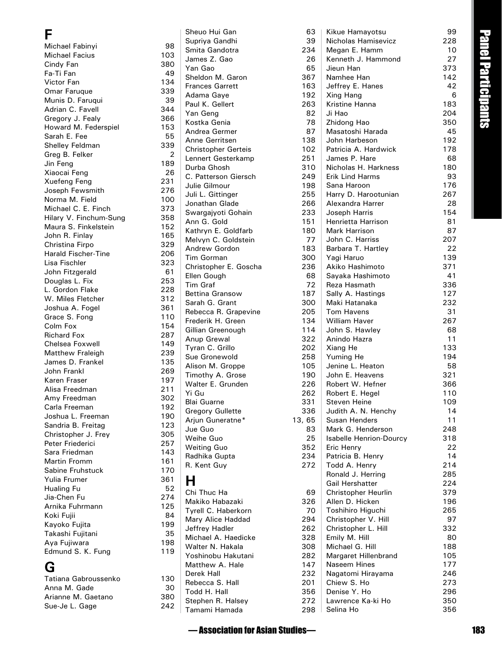#### **F**

| Michael Fabinyi            | 98  |
|----------------------------|-----|
| Michael Facius             | 103 |
| Cindy Fan                  | 380 |
| Fa-Ti Fan                  | 49  |
| Victor Fan                 | 134 |
| Omar Faruque               | 339 |
| Munis D. Faruqui           | 39  |
| Adrian C. Favell           | 344 |
| Gregory J. Fealy           | 366 |
| Howard M. Federspiel       | 153 |
| Sarah E. Fee               | 55  |
| Shelley Feldman            | 339 |
| Greg B. Felker             | 2   |
| Jin Feng                   | 189 |
| Xiaocai Feng               | 26  |
| Xuefeng Feng               | 231 |
| Joseph Fewsmith            | 276 |
| Norma M. Field             | 100 |
| Michael C. E. Finch        | 373 |
| Hilary V. Finchum-Sung     | 358 |
| Maura S. Finkelstein       | 152 |
| John R. Finlay             | 165 |
|                            | 329 |
| Christina Firpo            |     |
| <b>Harald Fischer-Tine</b> | 206 |
| Lisa Fischler              | 323 |
| John Fitzgerald            | 61  |
| Douglas L. Fix             | 253 |
| L. Gordon Flake            | 228 |
| W. Miles Fletcher          | 312 |
| Joshua A. Fogel            | 361 |
| Grace S. Fong              | 110 |
| Colm Fox                   | 154 |
| <b>Richard Fox</b>         | 287 |
| Chelsea Foxwell            | 149 |
| Matthew Fraleigh           | 239 |
| James D. Frankel           | 135 |
| John Frankl                | 269 |
| Karen Fraser               | 197 |
| Alisa Freedman             | 211 |
| Amy Freedman               | 302 |
| Carla Freeman              | 192 |
| Joshua L. Freeman          | 190 |
| Sandria B. Freitag         | 123 |
| Christopher J. Frey        | 305 |
| Peter Friederici           | 257 |
| Sara Friedman              | 143 |
| Martin Fromm               | 161 |
| Sabine Fruhstuck           | 170 |
| Yulia Frumer               | 361 |
| Hualing Fu                 | 52  |
| Jia-Chen Fu                | 274 |
| Arnika Fuhrmann            | 125 |
| Koki Fujii                 | 84  |
| Kayoko Fujita              | 199 |
| Takashi Fujitani           | 35  |
| Aya Fujiwara               | 198 |
| Edmund S. K. Fung          | 119 |
|                            |     |
| G                          |     |

| e                |     |
|------------------|-----|
|                  |     |
| ×<br>×<br>×<br>× |     |
|                  | . . |
|                  |     |

| Tatiana Gabroussenko | 130 |
|----------------------|-----|
| Anna M. Gade         | 30  |
| Arianne M. Gaetano   | 380 |
| Sue-Je L. Gage       | 242 |
|                      |     |

| Sheuo Hui Gan                  | 63         |
|--------------------------------|------------|
| Supriya Gandhi                 | 39         |
| Smita Gandotra                 | 234        |
| James Z. Gao                   | 26         |
| Yan Gao                        | 65         |
| Sheldon M. Garon               | 367        |
| <b>Frances Garrett</b>         | 163        |
| Adama Gaye                     | 192        |
| Paul K. Gellert                | 263<br>82  |
| Yan Geng<br>Kostka Genia       | 78         |
| Andrea Germer                  | 87         |
| Anne Gerritsen                 | 138        |
| <b>Christopher Gerteis</b>     | 102        |
| Lennert Gesterkamp             | 251        |
| Durba Ghosh                    | 310        |
| C. Patterson Giersch           | 249        |
| Julie Gilmour                  | 198        |
| Juli L. Gittinger              | 255        |
| Jonathan Glade                 | 266        |
| Swargajyoti Gohain             | 233        |
| Ann G. Gold                    | 151        |
| Kathryn E. Goldfarb            | 180        |
| Melvyn C. Goldstein            | 77         |
| Andrew Gordon                  | 183        |
| Tim Gorman                     | 300        |
| Christopher E. Goscha          | 236        |
| Ellen Gough                    | 68         |
| <b>Tim Graf</b>                | 72         |
| <b>Bettina Gransow</b>         | 187        |
| Sarah G. Grant                 | 300        |
| Rebecca R. Grapevine           | 205        |
| Frederik H. Green              | 134        |
| Gillian Greenough              | 114        |
| Anup Grewal<br>Tyran C. Grillo | 322<br>202 |
| Sue Gronewold                  | 258        |
| Alison M. Groppe               | 105        |
| Timothy A. Grose               | 190        |
| Walter E. Grunden              | 226        |
| Yi Gu                          | 262        |
| <b>Blai Guarne</b>             | 331        |
| <b>Gregory Gullette</b>        | 336        |
| Arjun Guneratne*               | 13,65      |
| Jue Guo                        | 83         |
| Weihe Guo                      | 25         |
| <b>Weiting Guo</b>             | 352        |
| Radhika Gupta                  | 234        |
| R. Kent Guy                    | 272        |
|                                |            |
| н                              |            |
| Chi Thuc Ha                    | 69         |
| Makiko Habazaki                | 326        |
| Tyrell C. Haberkorn            | 70         |
| Mary Alice Haddad              | 294        |
| Jeffrey Hadler                 | 262        |
| Michael A. Haedicke            | 328        |
| Walter N. Hakala               | 308        |
| Yoshinobu Hakutani             | 282        |
| Matthew A. Hale                | 147        |
| Derek Hall                     | 232        |

103 380<br>49

344 366 153

198 119

130<br>30

380 242

| Sheuo Hui Gan                          | 63          | Kikue Hamayotsu                          | 99         |                 |
|----------------------------------------|-------------|------------------------------------------|------------|-----------------|
| Supriya Gandhi                         | 39          | Nicholas Hamisevicz                      | 228        | anel Participan |
| Smita Gandotra                         | 234         | Megan E. Hamm                            | 10<br>27   |                 |
| James Z. Gao<br>Yan Gao                | 26<br>65    | Kenneth J. Hammond<br>Jieun Han          | 373        |                 |
| Sheldon M. Garon                       | 367         | Namhee Han                               | 142        |                 |
| <b>Frances Garrett</b>                 | 163         | Jeffrey E. Hanes                         | 42         |                 |
| Adama Gaye                             | 192         | Xing Hang                                | 6          |                 |
| Paul K. Gellert                        | 263         | Kristine Hanna                           | 183        |                 |
| Yan Geng                               | 82          | Ji Hao                                   | 204        |                 |
| Kostka Genia                           | 78          | Zhidong Hao                              | 350        | 5               |
| Andrea Germer                          | 87          | Masatoshi Harada                         | 45         |                 |
| Anne Gerritsen                         | 138         | John Harbeson                            | 192        |                 |
| <b>Christopher Gerteis</b>             | 102<br>251  | Patricia A. Hardwick<br>James P. Hare    | 178<br>68  |                 |
| Lennert Gesterkamp<br>Durba Ghosh      | 310         | Nicholas H. Harkness                     | 180        |                 |
| C. Patterson Giersch                   | 249         | <b>Erik Lind Harms</b>                   | 93         |                 |
| Julie Gilmour                          | 198         | Sana Haroon                              | 176        |                 |
| Juli L. Gittinger                      | 255         | Harry D. Harootunian                     | 267        |                 |
| Jonathan Glade                         | 266         | Alexandra Harrer                         | 28         |                 |
| Swargajyoti Gohain                     | 233         | Joseph Harris                            | 154        |                 |
| Ann G. Gold                            | 151         | Henrietta Harrison                       | 81         |                 |
| Kathryn E. Goldfarb                    | 180         | Mark Harrison                            | 87         |                 |
| Melvyn C. Goldstein                    | 77          | John C. Harriss                          | 207        |                 |
| Andrew Gordon<br>Tim Gorman            | 183<br>300  | Barbara T. Hartley<br>Yagi Haruo         | 22<br>139  |                 |
| Christopher E. Goscha                  | 236         | Akiko Hashimoto                          | 371        |                 |
| Ellen Gough                            | 68          | Sayaka Hashimoto                         | 41         |                 |
| <b>Tim Graf</b>                        | 72          | Reza Hasmath                             | 336        |                 |
| <b>Bettina Gransow</b>                 | 187         | Sally A. Hastings                        | 127        |                 |
| Sarah G. Grant                         | 300         | Maki Hatanaka                            | 232        |                 |
| Rebecca R. Grapevine                   | 205         | Tom Havens                               | 31         |                 |
| Frederik H. Green                      | 134         | <b>William Haver</b>                     | 267        |                 |
| Gillian Greenough                      | 114         | John S. Hawley                           | 68         |                 |
| Anup Grewal<br>Tyran C. Grillo         | 322<br>202  | Anindo Hazra<br>Xiang He                 | 11<br>133  |                 |
| Sue Gronewold                          | 258         | Yuming He                                | 194        |                 |
| Alison M. Groppe                       | 105         | Jenine L. Heaton                         | 58         |                 |
| Timothy A. Grose                       | 190         | John E. Heavens                          | 321        |                 |
| Walter E. Grunden                      | 226         | Robert W. Hefner                         | 366        |                 |
| Yi Gu                                  | 262         | Robert E. Hegel                          | 110        |                 |
| <b>Blai Guarne</b>                     | 331         | <b>Steven Heine</b>                      | 109        |                 |
| <b>Gregory Gullette</b>                | 336         | Judith A. N. Henchy                      | 14         |                 |
| Arjun Guneratne*<br>Jue Guo            | 13,65<br>83 | Susan Henders<br>Mark G. Henderson       | 11<br>248  |                 |
| Weihe Guo                              | 25          | <b>Isabelle Henrion-Dourcy</b>           | 318        |                 |
| <b>Weiting Guo</b>                     | 352         | Eric Henry                               | 22         |                 |
| Radhika Gupta                          | 234         | Patricia B. Henry                        | 14         |                 |
| R. Kent Guy                            | 272         | Todd A. Henry                            | 214        |                 |
|                                        |             | Ronald J. Herring                        | 285        |                 |
| н                                      |             | Gail Hershatter                          | 224        |                 |
| Chi Thuc Ha                            | 69          | Christopher Heurlin                      | 379        |                 |
| Makiko Habazaki<br>Tyrell C. Haberkorn | 326<br>70   | Allen D. Hicken                          | 196<br>265 |                 |
| Mary Alice Haddad                      | 294         | Toshihiro Higuchi<br>Christopher V. Hill | 97         |                 |
| Jeffrey Hadler                         | 262         | Christopher L. Hill                      | 332        |                 |
| Michael A. Haedicke                    | 328         | Emily M. Hill                            | 80         |                 |
| Walter N. Hakala                       | 308         | Michael G. Hill                          | 188        |                 |
| Yoshinobu Hakutani                     | 282         | Margaret Hillenbrand                     | 105        |                 |
| Matthew A. Hale                        | 147         | Naseem Hines                             | 177        |                 |
| Derek Hall                             | 232         | Nagatomi Hirayama                        | 246        |                 |
| Rebecca S. Hall                        | 201         | Chiew S. Ho                              | 273        |                 |
| Todd H. Hall<br>Stephen R. Halsey      | 356<br>272  | Denise Y. Ho<br>Lawrence Ka-ki Ho        | 296<br>350 |                 |
| Tamami Hamada                          | 298         | Selina Ho                                | 356        |                 |
|                                        |             |                                          |            |                 |
| -Sssociation for Asian Studies         |             |                                          |            | 183             |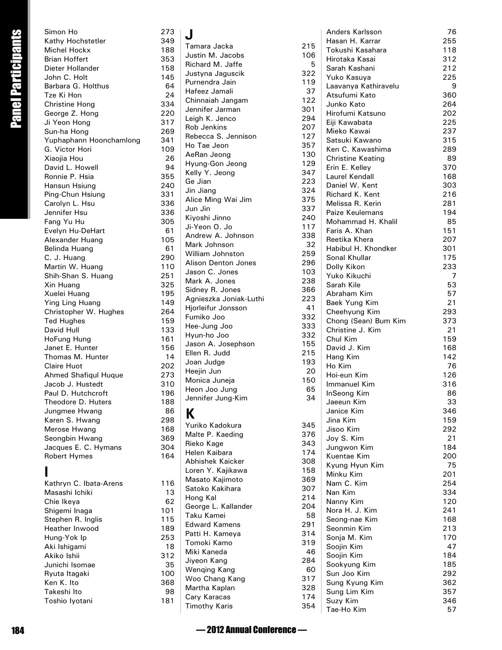|                    | Simon Ho                                | 273        | J                                 |                                |
|--------------------|-----------------------------------------|------------|-----------------------------------|--------------------------------|
| Panel Participants | Kathy Hochstetler                       | 349        | Tamara Jacka                      | $\overline{2}$                 |
|                    | Michel Hockx                            | 188        | Justin M. Jacobs                  | 1 <sup>1</sup>                 |
|                    | <b>Brian Hoffert</b>                    | 353        | Richard M. Jaffe                  |                                |
|                    | Dieter Hollander                        | 158        | Justyna Jaguscik                  | 3                              |
|                    | John C. Holt                            | 145        | Purnendra Jain                    | 1                              |
|                    | Barbara G. Holthus                      | 64         | Hafeez Jamali                     |                                |
|                    | Tze Ki Hon                              | 24         | Chinnaiah Jangam                  | $\mathbf{1}$                   |
|                    | <b>Christine Hong</b><br>George Z. Hong | 334<br>220 | Jennifer Jarman                   | 3                              |
|                    | Ji Yeon Hong                            | 317        | Leigh K. Jenco                    | $\overline{2}$                 |
|                    | Sun-ha Hong                             | 269        | Rob Jenkins                       | $\overline{a}$                 |
|                    | Yuphaphann Hoonchamlong                 | 341        | Rebecca S. Jennison               | $\mathbf{1}$                   |
|                    | G. Victor Hori                          | 109        | Ho Tae Jeon                       | 3                              |
|                    | Xiaojia Hou                             | 26         | AeRan Jeong                       | $\mathbf{1}$                   |
|                    | David L. Howell                         | 94         | Hyung-Gon Jeong                   | $\mathbf{1}$                   |
|                    | Ronnie P. Hsia                          | 355        | Kelly Y. Jeong                    | 3                              |
|                    | Hansun Hsiung                           | 240        | Ge Jian                           | $\overline{2}$                 |
|                    | Ping-Chun Hsiung                        | 331        | Jin Jiang                         | 3<br>3                         |
|                    | Carolyn L. Hsu                          | 336        | Alice Ming Wai Jim<br>Jun Jin     | 3                              |
|                    | Jennifer Hsu                            | 336        | Kiyoshi Jinno                     | $\overline{2}$                 |
|                    | Fang Yu Hu                              | 305        | Ji-Yeon O. Jo                     | $\mathbf{1}$                   |
|                    | Evelyn Hu-DeHart                        | 61         | Andrew A. Johnson                 | 3                              |
|                    | Alexander Huang                         | 105        | Mark Johnson                      |                                |
|                    | Belinda Huang                           | 61         | William Johnston                  | 2                              |
|                    | C. J. Huang                             | 290        | Alison Denton Jones               | $\overline{2}$                 |
|                    | Martin W. Huang                         | 110<br>251 | Jason C. Jones                    | $\mathbf{1}$                   |
|                    | Shih-Shan S. Huang<br>Xin Huang         | 325        | Mark A. Jones                     | $\overline{2}$                 |
|                    | Xuelei Huang                            | 195        | Sidney R. Jones                   | 3                              |
|                    | Ying Ling Huang                         | 149        | Agnieszka Joniak-Luthi            | $\overline{a}$                 |
|                    | Christopher W. Hughes                   | 264        | Hjorleifur Jonsson                |                                |
|                    | <b>Ted Hughes</b>                       | 159        | Fumiko Joo                        | 3                              |
|                    | David Hull                              | 133        | Hee-Jung Joo                      | 3                              |
|                    | HoFung Hung                             | 161        | Hyun-ho Joo                       | 3                              |
|                    | Janet E. Hunter                         | 156        | Jason A. Josephson                | $\mathbf{1}$                   |
|                    | Thomas M. Hunter                        | 14         | Ellen R. Judd                     | $\overline{a}$<br>$\mathbf{1}$ |
|                    | Claire Huot                             | 202        | Joan Judge<br>Heejin Jun          |                                |
|                    | Ahmed Shafiqul Huque                    | 273        | Monica Juneja                     | 1                              |
|                    | Jacob J. Hustedt                        | 310        | Heon Joo Jung                     |                                |
|                    | Paul D. Hutchcroft                      | 196        | Jennifer Jung-Kim                 |                                |
|                    | Theodore D. Huters                      | 188        |                                   |                                |
|                    | Jungmee Hwang                           | 86<br>298  | K.                                |                                |
|                    | Karen S. Hwang<br>Merose Hwang          | 168        | Yuriko Kadokura                   | 3                              |
|                    | Seongbin Hwang                          | 369        | Malte P. Kaeding                  | 3                              |
|                    | Jacques E. C. Hymans                    | 304        | Rieko Kage                        | 3                              |
|                    | Robert Hymes                            | 164        | Helen Kaibara                     | $\mathbf{1}$                   |
|                    |                                         |            | Abhishek Kaicker                  | 3                              |
|                    |                                         |            | Loren Y. Kajikawa                 | $\mathbf{1}$                   |
|                    | Kathryn C. Ibata-Arens                  | 116        | Masato Kajimoto                   | 3                              |
|                    | Masashi Ichiki                          | 13         | Satoko Kakihara                   | 3                              |
|                    | Chie Ikeya                              | 62         | Hong Kal                          | 2<br>$\overline{a}$            |
|                    | Shigemi Inaga                           | 101        | George L. Kallander<br>Taku Kamei |                                |
|                    | Stephen R. Inglis                       | 115        | <b>Edward Kamens</b>              | 2                              |
|                    | Heather Inwood                          | 189        | Patti H. Kameya                   | 3                              |
|                    | Hung-Yok Ip                             | 253        | Tomoki Kamo                       | 3                              |
|                    | Aki Ishigami                            | 18         | Miki Kaneda                       |                                |
|                    | Akiko Ishii                             | 312        | Jiyeon Kang                       | 2                              |
|                    | Junichi Isomae                          | 35         | Wenqing Kang                      |                                |
|                    | Ryuta Itagaki<br>Ken K. Ito             | 100        | Woo Chang Kang                    | 3                              |
|                    | Takeshi Ito                             | 368<br>98  | Martha Kaplan                     | 3                              |
|                    | Toshio lyotani                          | 181        | Cary Karacas                      | $\mathbf{1}$                   |
|                    |                                         |            | <b>Timothy Karis</b>              | 3                              |
|                    |                                         |            |                                   |                                |
| 184                |                                         |            | -2012 Annual Conference           |                                |
|                    |                                         |            |                                   |                                |

| Kathryn C. Ibata-Arens | 116 |
|------------------------|-----|
| Masashi Ichiki         | 13  |
| Chie Ikeya             | 62  |
| Shigemi Inaga          | 101 |
| Stephen R. Inglis      | 115 |
| Heather Inwood         | 189 |
| Hung-Yok Ip            | 253 |
| Aki Ishigami           | 18  |
| Akiko Ishii            | 312 |
| Junichi Isomae         | 35  |
| Ryuta Itagaki          | 100 |
| Ken K. Ito             | 368 |
| Takeshi Ito            | 98  |
| Toshio Iyotani         | 181 |
|                        |     |

| Tamara Jacka                        | 215 |
|-------------------------------------|-----|
| Justin M. Jacobs                    | 106 |
| Richard M. Jaffe                    | 5   |
| Justyna Jaguscik                    | 322 |
| Purnendra Jain                      | 119 |
| Hafeez Jamali                       | 37  |
| Chinnaiah Jangam                    | 122 |
| Jennifer Jarman                     | 301 |
| Leigh K. Jenco                      | 294 |
| Rob Jenkins                         | 207 |
| Rebecca S. Jennison                 | 127 |
| Ho Tae Jeon                         | 357 |
| AeRan Jeong                         | 130 |
| Hyung-Gon Jeong                     | 129 |
| Kelly Y. Jeong                      | 347 |
| Ge Jian                             | 223 |
| Jin Jiang                           | 324 |
| Alice Ming Wai Jim                  | 375 |
| Jun Jin                             | 337 |
| Kiyoshi Jinno                       | 240 |
| Ji-Yeon O. Jo                       | 117 |
| Andrew A. Johnson                   | 338 |
| Mark Johnson                        | 32  |
| William Johnston                    | 259 |
| Alison Denton Jones                 | 296 |
| Jason C. Jones                      | 103 |
| Mark A. Jones                       | 238 |
| Sidney R. Jones                     | 366 |
| Agnieszka Joniak-Luthi              | 223 |
| Hjorleifur Jonsson                  | 41  |
| Fumiko Joo                          | 332 |
| Hee-Jung Joo                        | 333 |
| Hyun-ho Joo                         | 332 |
|                                     | 155 |
| Jason A. Josephson<br>Ellen R. Judd |     |
| Joan Judge                          | 215 |
|                                     | 193 |
| Heejin Jun                          | 20  |
| Monica Juneja                       | 150 |
| Heon Joo Jung                       | 65  |
| Jennifer Jung-Kim                   | 34  |
| К                                   |     |
| Yuriko Kadokura                     | 345 |
| Malte P. Kaeding                    | 376 |
| Rieko Kage                          | 343 |
| Helen Kaibara                       | 174 |
| <b>Abhishek Kaicker</b>             | 308 |
| Loren Y. Kajikawa                   | 158 |
| Masato Kajimoto                     | 369 |
|                                     |     |

|                                     |            | Anders Karlsson                       | 76         |
|-------------------------------------|------------|---------------------------------------|------------|
| Tamara Jacka                        | 215        | Hasan H. Karrar                       | 255        |
| Justin M. Jacobs                    | 106        | Tokushi Kasahara                      | 118        |
| Richard M. Jaffe                    | 5          | Hirotaka Kasai                        | 312        |
| Justyna Jaguscik                    | 322        | Sarah Kashani                         | 212        |
| Purnendra Jain                      | 119        | Yuko Kasuya                           | 225        |
| Hafeez Jamali                       | 37         | Laavanya Kathiravelu<br>Atsufumi Kato | 9<br>360   |
| Chinnaiah Jangam                    | 122        | Junko Kato                            | 264        |
| Jennifer Jarman                     | 301        | Hirofumi Katsuno                      | 202        |
| Leigh K. Jenco                      | 294        | Eiii Kawabata                         | 225        |
| Rob Jenkins                         | 207        | Mieko Kawai                           | 237        |
| Rebecca S. Jennison                 | 127        | Satsuki Kawano                        | 315        |
| Ho Tae Jeon                         | 357        | Ken C. Kawashima                      | 289        |
| AeRan Jeong                         | 130        | <b>Christine Keating</b>              | 89         |
| Hyung-Gon Jeong                     | 129        | Erin E. Kelley                        | 370        |
| Kelly Y. Jeong                      | 347        | Laurel Kendall                        | 168        |
| Ge Jian                             | 223<br>324 | Daniel W. Kent                        | 303        |
| Jin Jiang<br>Alice Ming Wai Jim     | 375        | Richard K. Kent                       | 216        |
| Jun Jin                             | 337        | Melissa R. Kerin                      | 281        |
| Kiyoshi Jinno                       | 240        | Paize Keulemans                       | 194        |
| Ji-Yeon O. Jo                       | 117        | Mohammad H. Khalil                    | 85         |
| Andrew A. Johnson                   | 338        | Faris A. Khan                         | 151        |
| Mark Johnson                        | 32         | Reetika Khera                         | 207        |
| William Johnston                    | 259        | Habibul H. Khondker                   | 301        |
| Alison Denton Jones                 | 296        | Sonal Khullar                         | 175<br>233 |
| Jason C. Jones                      | 103        | Dolly Kikon<br>Yuko Kikuchi           | 7          |
| Mark A. Jones                       | 238        | Sarah Kile                            | 53         |
| Sidney R. Jones                     | 366        | Abraham Kim                           | 57         |
| Agnieszka Joniak-Luthi              | 223        | Baek Yung Kim                         | 21         |
| Hjorleifur Jonsson                  | 41         | Cheehyung Kim                         | 293        |
| Fumiko Joo                          | 332        | Chong (Sean) Bum Kim                  | 373        |
| Hee-Jung Joo                        | 333        | Christine J. Kim                      | 21         |
| Hyun-ho Joo                         | 332        | Chul Kim                              | 159        |
| Jason A. Josephson<br>Ellen R. Judd | 155<br>215 | David J. Kim                          | 168        |
|                                     | 193        | Hang Kim                              | 142        |
| Joan Judge<br>Heejin Jun            | 20         | Ho Kim                                | 76         |
| Monica Juneja                       | 150        | Hoi-eun Kim                           | 126        |
| Heon Joo Jung                       | 65         | Immanuel Kim                          | 316        |
| Jennifer Jung-Kim                   | 34         | InSeong Kim                           | 86         |
|                                     |            | Jaeeun Kim                            | 33         |
| K                                   |            | Janice Kim                            | 346        |
| Yuriko Kadokura                     | 345        | Jina Kim<br>Jisoo Kim                 | 159<br>292 |
| Malte P. Kaeding                    | 376        | Joy S. Kim                            | 21         |
| Rieko Kage                          | 343        | Jungwon Kim                           | 184        |
| Helen Kaibara                       | 174        | Kuentae Kim                           | 200        |
| Abhishek Kaicker                    | 308        | Kyung Hyun Kim                        | 75         |
| Loren Y. Kajikawa                   | 158        | Minku Kim                             | 201        |
| Masato Kajimoto                     | 369        | Nam C. Kim                            | 254        |
| Satoko Kakihara                     | 307        | Nan Kim                               | 334        |
| Hong Kal<br>George L. Kallander     | 214<br>204 | Nanny Kim                             | 120        |
| Taku Kamei                          | 58         | Nora H. J. Kim                        | 241        |
| <b>Edward Kamens</b>                | 291        | Seong-nae Kim                         | 168        |
| Patti H. Kameya                     | 314        | Seonmin Kim                           | 213        |
| Tomoki Kamo                         | 319        | Sonja M. Kim                          | 170        |
| Miki Kaneda                         | 46         | Soojin Kim                            | 47         |
| Jiyeon Kang                         | 284        | Soojin Kim                            | 184        |
| Wenqing Kang                        | 60         | Sookyung Kim<br>Sun Joo Kim           | 185<br>292 |
| Woo Chang Kang                      | 317        | Sung Kyung Kim                        | 362        |
| Martha Kaplan                       | 328        | Sung Lim Kim                          | 357        |
| Cary Karacas                        | 174        | Suzy Kim                              | 346        |
| <b>Timothy Karis</b>                | 354        | Tae-Ho Kim                            | 57         |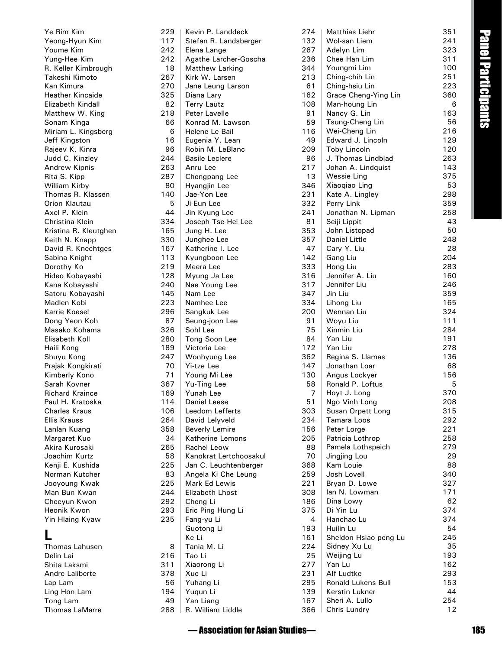|                                          |            | -Sessociation for Asian Studies   |            |                                    |            | 185                |
|------------------------------------------|------------|-----------------------------------|------------|------------------------------------|------------|--------------------|
|                                          |            |                                   |            |                                    |            |                    |
| <b>Thomas LaMarre</b>                    | 288        | R. William Liddle                 | 366        | Chris Lundry                       | 12         |                    |
| Tong Lam                                 | 49         | Yan Liang                         | 167        | Sheri A. Lullo                     | 254        |                    |
| Ling Hon Lam                             | 194        | Yuqun Li                          | 139        | Kerstin Lukner                     | 44         |                    |
| Lap Lam                                  | 56         | Yuhang Li                         | 295        | Ronald Lukens-Bull                 | 153        |                    |
| Shita Laksmi<br>Andre Laliberte          | 311<br>378 | Xiaorong Li<br>Xue Li             | 277<br>231 | Yan Lu<br>Alf Ludtke               | 293        |                    |
| Delin Lai                                | 216        | Tao Li                            | 25         | Weijing Lu                         | 193<br>162 |                    |
| Thomas Lahusen                           | 8          | Tania M. Li                       | 224        | Sidney Xu Lu                       | 35         |                    |
| L                                        |            | Ke Li                             | 161        | Sheldon Hsiao-peng Lu              | 245        |                    |
|                                          |            | Guotong Li                        | 193        | Huilin Lu                          | 54         |                    |
| Yin Hlaing Kyaw                          | 235        | Fang-yu Li                        | 4          | Hanchao Lu                         | 374        |                    |
| Heonik Kwon                              | 293        | Eric Ping Hung Li                 | 375        | Di Yin Lu                          | 374        |                    |
| Cheeyun Kwon                             | 292        | Cheng Li                          | 186        | Dina Lowy                          | 62         |                    |
| Man Bun Kwan                             | 244        | <b>Elizabeth Lhost</b>            | 308        | lan N. Lowman                      | 171        |                    |
| Jooyoung Kwak                            | 225        | Mark Ed Lewis                     | 221        | Bryan D. Lowe                      | 327        |                    |
| Norman Kutcher                           | 83         | Angela Ki Che Leung               | 259        | Josh Lovell                        | 340        |                    |
| Kenji E. Kushida                         | 225        | Jan C. Leuchtenberger             | 368        | Kam Louie                          | 88         |                    |
| Joachim Kurtz                            | 58         | Kanokrat Lertchoosakul            | 70         | Jingjing Lou                       | 29         |                    |
| Akira Kurosaki                           | 265        | <b>Rachel Leow</b>                | 88         | Pamela Lothspeich                  | 279        |                    |
| Margaret Kuo                             | 34         | <b>Katherine Lemons</b>           | 205        | Patricia Lothrop                   | 258        |                    |
| Lanlan Kuang                             | 358        | <b>Beverly Lemire</b>             | 156        | Peter Lorge                        | 221        |                    |
| <b>Ellis Krauss</b>                      | 264        | David Lelyveld                    | 234        | Tamara Loos                        | 292        |                    |
| Paul H. Kratoska<br><b>Charles Kraus</b> | 114<br>106 | Daniel Leese<br>Leedom Lefferts   | 51<br>303  | Ngo Vinh Long<br>Susan Orpett Long | 315        |                    |
| <b>Richard Kraince</b>                   | 169        | Yunah Lee                         | 7          | Hoyt J. Long                       | 370<br>208 |                    |
| Sarah Kovner                             | 367        | Yu-Ting Lee                       | 58         | Ronald P. Loftus                   | 5          |                    |
| Kimberly Kono                            | 71         | Young Mi Lee                      | 130        | Angus Lockyer                      | 156        |                    |
| Prajak Kongkirati                        | 70         | Yi-tze Lee                        | 147        | Jonathan Loar                      | 68         |                    |
| Shuyu Kong                               | 247        | Wonhyung Lee                      | 362        | Regina S. Llamas                   | 136        |                    |
| Haili Kong                               | 189        | Victoria Lee                      | 172        | Yan Liu                            | 278        |                    |
| Elisabeth Koll                           | 280        | Tong Soon Lee                     | 84         | Yan Liu                            | 191        |                    |
| Masako Kohama                            | 326        | Sohl Lee                          | 75         | Xinmin Liu                         | 284        |                    |
| Dong Yeon Koh                            | 87         | Seung-joon Lee                    | 91         | Woyu Liu                           | 111        |                    |
| Karrie Koesel                            | 296        | Sangkuk Lee                       | 200        | Wennan Liu                         | 324        |                    |
| Madlen Kobi                              | 223        | Namhee Lee                        | 334        | Lihong Liu                         | 165        |                    |
| Satoru Kobayashi                         | 145        | Nam Lee                           | 347        | Jin Liu                            | 359        |                    |
| Kana Kobayashi                           | 240        | Nae Young Lee                     | 317        | Jennifer Liu                       | 246        |                    |
| Hideo Kobayashi                          | 128        | Myung Ja Lee                      | 316        | Jennifer A. Liu                    | 160        |                    |
| Dorothy Ko                               | 219        | Meera Lee                         | 333        | Hong Liu                           | 283        |                    |
| Sabina Knight                            | 113        | Kyungboon Lee                     | 142        | Gang Liu                           | 204        |                    |
| David R. Knechtges                       | 167        | Katherine I. Lee                  | 47         | Cary Y. Liu                        | 28         |                    |
| Keith N. Knapp                           | 330        | Junghee Lee                       | 357        | Daniel Little                      | 248        |                    |
| Kristina R. Kleutghen                    | 165        | Jung H. Lee                       | 353        | John Listopad                      | 50         |                    |
| Christina Klein                          | 334        | Joseph Tse-Hei Lee                | 81         | Seiji Lippit                       | 43         |                    |
| Axel P. Klein                            | 44         | Jin Kyung Lee                     | 241        | Jonathan N. Lipman                 | 258        |                    |
| Orion Klautau                            | 5          | Ji-Eun Lee                        | 332        | Perry Link                         | 359        |                    |
| William Kirby<br>Thomas R. Klassen       | 80<br>140  | Hyangjin Lee<br>Jae-Yon Lee       | 346<br>231 | Xiaoqiao Ling<br>Kate A. Lingley   | 298        |                    |
| Rita S. Kipp                             | 287        | Chengpang Lee                     | 13         | <b>Wessie Ling</b>                 | 375<br>53  |                    |
| Andrew Kipnis                            | 263        | Anru Lee                          | 217        | Johan A. Lindquist                 | 143        |                    |
| Judd C. Kinzley                          | 244        | <b>Basile Leclere</b>             | 96         | J. Thomas Lindblad                 | 263        |                    |
| Rajeev K. Kinra                          | 96         | Robin M. LeBlanc                  | 209        | Toby Lincoln                       | 120        |                    |
| Jeff Kingston                            | 16         | Eugenia Y. Lean                   | 49         | Edward J. Lincoln                  | 129        |                    |
| Miriam L. Kingsberg                      | 6          | Helene Le Bail                    | 116        | Wei-Cheng Lin                      | 216        |                    |
| Sonam Kinga                              | 66         | Konrad M. Lawson                  | 59         | Tsung-Cheng Lin                    | 56         |                    |
| Matthew W. King                          | 218        | Peter Lavelle                     | 91         | Nancy G. Lin                       | 163        | Panel Participants |
| Elizabeth Kindall                        | 82         | <b>Terry Lautz</b>                | 108        | Man-houng Lin                      | 6          |                    |
| <b>Heather Kincaide</b>                  | 325        | Diana Lary                        | 162        | Grace Cheng-Ying Lin               | 360        |                    |
| Kan Kimura                               | 270        | Jane Leung Larson                 | 61         | Ching-hsiu Lin                     | 223        |                    |
| R. Keller Kimbrough<br>Takeshi Kimoto    | 18<br>267  | Matthew Larking<br>Kirk W. Larsen | 344<br>213 | Youngmi Lim<br>Ching-chih Lin      | 100<br>251 |                    |
| Yung-Hee Kim                             | 242        | Agathe Larcher-Goscha             | 236        | Chee Han Lim                       | 311        |                    |
| Youme Kim                                | 242        | Elena Lange                       | 267        | Adelyn Lim                         | 323        |                    |
| Yeong-Hyun Kim                           | 117        | Stefan R. Landsberger             | 132        | Wol-san Liem                       | 241        |                    |
| Ye Rim Kim                               | 229        | Kevin P. Landdeck                 | 274        | Matthias Liehr                     | 351        |                    |
|                                          |            |                                   |            |                                    |            |                    |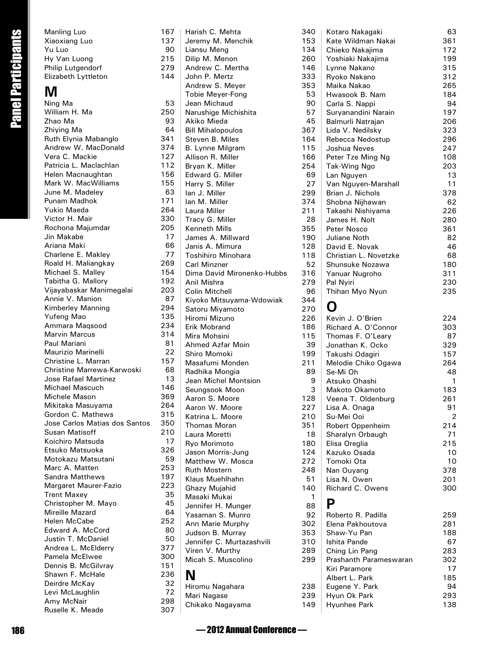| Manling Luo              | 167 |
|--------------------------|-----|
| Xiaoxiang Luo            | 137 |
| Yu Luo                   | 90  |
| Hy Van Luong             | 215 |
| <b>Philip Lutgendorf</b> | 279 |
| Elizabeth Lyttleton      | 144 |
|                          |     |

### **M**

|                           | Manling Luo                                        | 167        | Harish C. Mehta                               | 340          |
|---------------------------|----------------------------------------------------|------------|-----------------------------------------------|--------------|
| <b>Panel Participants</b> | Xiaoxiang Luo                                      | 137        | Jeremy M. Menchik                             | 153          |
|                           | Yu Luo                                             | 90         | Liansu Meng                                   | 134          |
|                           | Hy Van Luong                                       | 215        | Dilip M. Menon                                | 260          |
|                           | Philip Lutgendorf                                  | 279<br>144 | Andrew C. Mertha<br>John P. Mertz             | 146<br>333   |
|                           | Elizabeth Lyttleton                                |            | Andrew S. Meyer                               | 353          |
|                           | M                                                  |            | Tobie Meyer-Fong                              | 53           |
|                           | Ning Ma                                            | 53         | Jean Michaud                                  | 90           |
|                           | William H. Ma                                      | 250        | Narushige Michishita                          | 57           |
|                           | Zhao Ma                                            | 93         | Akiko Mieda                                   | 45           |
|                           | Zhiying Ma                                         | 64         | <b>Bill Mihalopoulos</b>                      | 367          |
|                           | Ruth Elynia Mabanglo                               | 341        | Steven B. Miles                               | 164          |
|                           | Andrew W. MacDonald                                | 374        | B. Lynne Milgram                              | 115          |
|                           | Vera C. Mackie<br>Patricia L. Maclachlan           | 127<br>112 | Allison R. Miller                             | 166<br>254   |
|                           | Helen Macnaughtan                                  | 156        | Bryan K. Miller<br>Edward G. Miller           | 69           |
|                           | Mark W. MacWilliams                                | 155        | Harry S. Miller                               | 27           |
|                           | June M. Madeley                                    | 63         | lan J. Miller                                 | 299          |
|                           | Punam Madhok                                       | 171        | Ian M. Miller                                 | 374          |
|                           | <b>Yukio Maeda</b>                                 | 264        | Laura Miller                                  | 211          |
|                           | Victor H. Mair                                     | 330        | Tracy G. Miller                               | 28           |
|                           | Rochona Majumdar                                   | 205        | Kenneth Mills                                 | 355          |
|                           | Jin Makabe                                         | 17         | James A. Millward                             | 190          |
|                           | Ariana Maki<br>Charlene E. Makley                  | 66<br>77   | Janis A. Mimura                               | 128          |
|                           | Roald H. Maliangkay                                | 269        | Toshihiro Minohara<br><b>Carl Minzner</b>     | 118<br>52    |
|                           | Michael S. Malley                                  | 154        | Dima David Mironenko-Hubbs                    | 316          |
|                           | Tabitha G. Mallory                                 | 192        | Anil Mishra                                   | 279          |
|                           | Vijayabaskar Manimegalai                           | 203        | Colin Mitchell                                | 96           |
|                           | Annie V. Manion                                    | 87         | Kiyoko Mitsuyama-Wdowiak                      | 344          |
|                           | Kimberley Manning                                  | 294        | Satoru Miyamoto                               | 270          |
|                           | Yufeng Mao                                         | 135        | Hiromi Mizuno                                 | 226          |
|                           | Ammara Maqsood                                     | 234        | Erik Mobrand                                  | 186          |
|                           | <b>Marvin Marcus</b><br>Paul Mariani               | 314<br>81  | Mira Mohsini                                  | 115          |
|                           | Maurizio Marinelli                                 | 22         | Ahmed Azfar Moin<br>Shiro Momoki              | 39<br>199    |
|                           | Christine L. Marran                                | 157        | Masafumi Monden                               | 211          |
|                           | Christine Marrewa-Karwoski                         | 68         | Radhika Mongia                                | 89           |
|                           | <b>Jose Rafael Martinez</b>                        | 13         | Jean Michel Montsion                          | 9            |
|                           | Michael Mascuch                                    | 146        | Seungsook Moon                                | 3            |
|                           | Michele Mason                                      | 369        | Aaron S. Moore                                | 128          |
|                           | Mikitaka Masuyama                                  | 264        | Aaron W. Moore                                | 227          |
|                           | Gordon C. Mathews<br>Jose Carlos Matias dos Santos | 315<br>350 | Katrina L. Moore                              | 210          |
|                           | Susan Matisoff                                     | 210        | Thomas Moran                                  | 351          |
|                           | Koichiro Matsuda                                   | 17         | Laura Moretti                                 | 18           |
|                           | Etsuko Matsuoka                                    | 326        | Ryo Morimoto<br>Jason Morris-Jung             | 180<br>124   |
|                           | Motokazu Matsutani                                 | 59         | Matthew W. Mosca                              | 272          |
|                           | Marc A. Matten                                     | 253        | <b>Ruth Mostern</b>                           | 248          |
|                           | <b>Sandra Matthews</b>                             | 197        | Klaus Muehlhahn                               | 51           |
|                           | Margaret Maurer-Fazio                              | 223        | Ghazy Mujahid                                 | 140          |
|                           | <b>Trent Maxey</b>                                 | 35         | Masaki Mukai                                  | $\mathbf{1}$ |
|                           | Christopher M. Mayo<br>Mireille Mazard             | 45<br>64   | Jennifer H. Munger                            | 88           |
|                           | Helen McCabe                                       | 252        | Yasaman S. Munro                              | 92           |
|                           | Edward A. McCord                                   | 80         | Ann Marie Murphy                              | 302          |
|                           | Justin T. McDaniel                                 | 50         | Judson B. Murray<br>Jennifer C. Murtazashvili | 353<br>310   |
|                           | Andrea L. McElderry                                | 377        | Viren V. Murthy                               | 289          |
|                           | Pamela McElwee                                     | 300        | Micah S. Muscolino                            | 299          |
|                           | Dennis B. McGilvray                                | 151        |                                               |              |
|                           | Shawn F. McHale                                    | 236        | N                                             |              |
|                           | Deirdre McKay                                      | 32         | Hiromu Nagahara                               | 238          |
|                           | Levi McLaughlin                                    | 72         | Mari Nagase                                   | 239          |
|                           | Amy McNair<br>Ruselle K. Meade                     | 298<br>307 | Chikako Nagayama                              | 149          |
|                           |                                                    |            |                                               |              |
| 186                       |                                                    |            | - 2012 Annual Conference —                    |              |
|                           |                                                    |            |                                               |              |

|                       | Kotaro Nakagaki        | 63  |
|-----------------------|------------------------|-----|
| 3                     | Kate Wildman Nakai     | 361 |
| Ļ                     | Chieko Nakajima        | 172 |
| $\mathfrak{z}$        | Yoshiaki Nakajima      | 199 |
|                       |                        |     |
|                       | Lynne Nakano           | 315 |
| S<br>3<br>3           | Ryoko Nakano           | 312 |
|                       | Maika Nakao            | 265 |
|                       | Hwasook B. Nam         | 184 |
| $\mathbf{)}$          | Carla S. Nappi         | 94  |
| 7                     | Suryanandini Narain    | 197 |
| 5                     | Balmurli Natrajan      | 206 |
|                       |                        | 323 |
| 7                     | Lida V. Nedilsky       |     |
| ļ                     | Rebecca Nedostup       | 296 |
| 5                     | Joshua Neves           | 247 |
| ć                     | Peter Tze Ming Ng      | 108 |
| ŀ                     | Tak-Wing Ngo           | 203 |
| þ                     | Lan Nguyen             | 13  |
| 7                     | Van Nguyen-Marshall    | 11  |
| þ                     |                        | 378 |
|                       | Brian J. Nichols       |     |
| ŀ                     | Shobna Nijhawan        | 62  |
|                       | Takashi Nishiyama      | 226 |
| S                     | James H. Nolt          | 280 |
| 5                     | Peter Nosco            | 361 |
| $\mathbf{)}$          | Juliane Noth           | 82  |
| s                     | David E. Novak         | 46  |
|                       | Christian L. Novetzke  | 68  |
| 325)トラー               |                        |     |
|                       | Shunsuke Nozawa        | 180 |
|                       | Yanuar Nugroho         | 311 |
|                       | Pal Nyiri              | 230 |
|                       | Thihan Myo Nyun        | 235 |
|                       |                        |     |
|                       | O                      |     |
| )<br>)<br>)<br>)<br>) | Kevin J. O'Brien       | 224 |
|                       |                        |     |
|                       | Richard A. O'Connor    | 303 |
|                       | Thomas F. O'Leary      | 87  |
|                       | Jonathan K. Ocko       | 329 |
| )                     | Takushi Odagiri        | 157 |
|                       | Melodie Chiko Ogawa    | 264 |
| 3                     | Se-Mi Oh               | 48  |
| J                     | Atsuko Ohashi          | 1   |
| ś                     | Makoto Okamoto         | 183 |
|                       |                        | 261 |
| 3                     | Veena T. Oldenburg     |     |
| 7                     | Lisa A. Onaga          | 91  |
| )                     | Su-Mei Ooi             | 2   |
|                       | Robert Oppenheim       | 214 |
| 3                     | Sharalyn Orbaugh       | 71  |
| $\mathbf{C}$          | Elisa Oreglia          | 215 |
| ļ                     | Kazuko Osada           | 10  |
|                       | Tomoki Ota             | 10  |
| )<br>}                |                        | 378 |
|                       | Nan Ouyang             |     |
|                       | Lisa N. Owen           | 201 |
| $\mathcal{C}$         | Richard C. Owens       | 300 |
|                       |                        |     |
|                       | Ρ                      |     |
|                       | Roberto R. Padilla     | 259 |
|                       | Elena Pakhoutova       | 281 |
| 3<br>2<br>3<br>)      | Shaw-Yu Pan            | 188 |
|                       | Ishita Pande           |     |
|                       |                        | 67  |
| )                     | Ching Lin Pang         | 283 |
|                       | Prashanth Parameswaran | 302 |
|                       | Kiri Paramore          | 17  |
|                       | Albert L. Park         | 185 |
|                       | Eugene Y. Park         | 94  |
| þ                     | Hyun Ok Park           | 293 |
| J                     | Hyunhee Park           | 138 |
|                       |                        |     |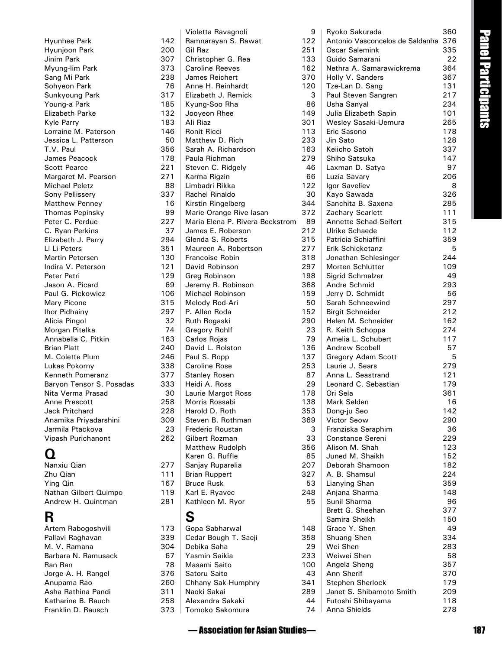| Hyunhee Park             | 142 |
|--------------------------|-----|
| Hyunjoon Park            | 200 |
| Jinim Park               | 307 |
| Myung-lim Park           | 373 |
| Sang Mi Park             | 238 |
| Sohyeon Park             | 76  |
| Sunkyoung Park           | 317 |
| Young-a Park             | 185 |
| <b>Elizabeth Parke</b>   | 132 |
| Kyle Parry               | 183 |
| Lorraine M. Paterson     | 146 |
| Jessica L. Patterson     | 50  |
| T.V. Paul                | 356 |
| James Peacock            | 178 |
| <b>Scott Pearce</b>      | 221 |
| Margaret M. Pearson      | 271 |
| <b>Michael Peletz</b>    | 88  |
| Sony Pellissery          | 337 |
| Matthew Penney           | 16  |
| <b>Thomas Pepinsky</b>   | 99  |
| Peter C. Perdue          | 227 |
| C. Ryan Perkins          | 37  |
| Elizabeth J. Perry       | 294 |
| Li Li Peters             | 351 |
| Martin Petersen          | 130 |
| Indira V. Peterson       | 121 |
| Peter Petri              | 129 |
| Jason A. Picard          | 69  |
| Paul G. Pickowicz        | 106 |
| Mary Picone              | 315 |
| Ihor Pidhainy            | 297 |
| Alicia Pingol            | 32  |
| Morgan Pitelka           | 74  |
| Annabella C. Pitkin      | 163 |
| <b>Brian Platt</b>       | 240 |
| M. Colette Plum          | 246 |
| Lukas Pokorny            | 338 |
| <b>Kenneth Pomeranz</b>  | 377 |
| Baryon Tensor S. Posadas | 333 |
| Nita Verma Prasad        | 30  |
| Anne Prescott            | 258 |
| <b>Jack Pritchard</b>    | 228 |
| Anamika Priyadarshini    | 309 |
| Jarmila Ptackova         | 23  |
| Vipash Purichanont       | 262 |
|                          |     |

### **Q**

Nanxiu Qian 277 Zhu Qian 111 Ying Qin 167<br>Nathan Gilbert Quimpo 119 Nathan Gilbert Quimpo Andrew H. Quintman 281

### **R**

Artem Rabogoshvili 173 Pallavi Raghavan 339 M. V. Ramana<br>Barbara N. Ramusack 67 Barbara N. Ramusack 67 Ran Ran **78** Jorge A. H. Rangel 376 Anupama Rao 260 Asha Rathina Pandi **311**<br>Katharine B. Rauch **258** Katharine B. Rauch 258<br>Franklin D. Rausch 273 Franklin D. Rausch

|           | Violetta Ravagnoli                     | 9          |
|-----------|----------------------------------------|------------|
| 142       | Ramnarayan S. Rawat                    | 122        |
| 200       | Gil Raz                                | 251        |
| 307       | Christopher G. Rea                     | 133        |
| 373       | <b>Caroline Reeves</b>                 | 162        |
| 238       | <b>James Reichert</b>                  | 370        |
| 76        | Anne H. Reinhardt                      | 120        |
| 317       | Elizabeth J. Remick                    | 3          |
| 185       | Kyung-Soo Rha                          | 86         |
| 132       | Jooyeon Rhee                           | 149        |
| 183       | Ali Riaz                               | 301        |
| 146       | <b>Ronit Ricci</b>                     | 113        |
| 50        | Matthew D. Rich                        | 233        |
| 356       | Sarah A. Richardson                    | 163        |
| 178       | Paula Richman                          | 279        |
| 221       | Steven C. Ridgely                      | 46         |
| 271       | Karma Rigzin                           | 66         |
| 88        | Limbadri Rikka                         | 122        |
| 337       | Rachel Rinaldo                         | 30         |
| 16        | Kirstin Ringelberg                     | 344        |
| 99        | Marie-Orange Rive-lasan                | 372        |
| 227       | Maria Elena P. Rivera-Beckstrom        | 89         |
| 37        | James E. Roberson                      | 212        |
| 294       | Glenda S. Roberts                      | 315        |
| 351       | Maureen A. Robertson                   | 277        |
| 130       | Francoise Robin                        | 318        |
| 121       | David Robinson                         | 297        |
| 129       | Greg Robinson                          | 198        |
| 69<br>106 | Jeremy R. Robinson<br>Michael Robinson | 368<br>159 |
| 315       | Melody Rod-Ari                         | 50         |
| 297       | P. Allen Roda                          | 152        |
| 32        | Ruth Rogaski                           | 290        |
| 74        | <b>Gregory Rohlf</b>                   | 23         |
| 163       | Carlos Rojas                           | 79         |
| 240       | David L. Rolston                       | 136        |
| 246       | Paul S. Ropp                           | 137        |
| 338       | <b>Caroline Rose</b>                   | 253        |
| 377       | <b>Stanley Rosen</b>                   | 87         |
| 333       | Heidi A. Ross                          | 29         |
| 30        | Laurie Margot Ross                     | 178        |
| 258       | Morris Rossabi                         | 138        |
| 228       | Harold D. Roth                         | 353        |
| 309       | Steven B. Rothman                      | 369        |
| 23        | Frederic Roustan                       | 3          |
| 262       | Gilbert Rozman                         | 33         |
|           | <b>Matthew Rudolph</b>                 | 356        |
|           | Karen G. Ruffle                        | 85         |
| 277       | Sanjay Ruparelia                       | 207        |
| 111       | <b>Brian Ruppert</b>                   | 327        |
| 167       | <b>Bruce Rusk</b>                      | 53         |
| 119       | Karl E. Ryavec                         | 248        |
| 281       | Kathleen M. Ryor                       | 55         |
|           |                                        |            |
|           | S                                      |            |
| 173       | Gopa Sabharwal                         | 148        |
| 339       | Cedar Bough T. Saeji                   | 358        |
| 304       | Debika Saha                            | 29         |
| 67        | Yasmin Saikia                          | 233        |
| 78        | Masami Saito                           | 100        |
| 376       | Satoru Saito                           | 43         |
| 260       | Chhany Sak-Humphry                     | 341        |
| 311       | Naoki Sakai                            | 289        |
| 258       | Alexandra Sakaki                       | 44         |
| 373       | Tomoko Sakomura                        | 74         |

| — Association for Asian Studies—              |            |                                      |            | 187                |
|-----------------------------------------------|------------|--------------------------------------|------------|--------------------|
| omoko Sakomura                                | 74         | Anna Shields                         | 278        |                    |
| \lexandra Sakaki                              | 44         | Futoshi Shibayama                    | 118        |                    |
| Jaoki Sakai                                   | 289        | Janet S. Shibamoto Smith             | 209        |                    |
| hhany Sak-Humphry:                            | 341        | <b>Stephen Sherlock</b>              | 179        |                    |
| Satoru Saito                                  | 43         | Ann Sherif                           | 370        |                    |
| Aasami Saito                                  | 100        | Angela Sheng                         | 357        |                    |
| 'asmin Saikia                                 | 233        | Weiwei Shen                          | 58         |                    |
| )ebika Saha                                   | 29         | Wei Shen                             | 283        |                    |
| Cedar Bough T. Saeji                          | 358        | Shuang Shen                          | 334        |                    |
| Gopa Sabharwal                                | 148        | Grace Y. Shen                        | 49         |                    |
| S                                             |            | Samira Sheikh                        | 150        |                    |
|                                               |            | Brett G. Sheehan                     | 377        |                    |
| .athleen M. Ryor                              | 55         | Sunil Sharma                         | 96         |                    |
| <b>Bruce Rusk</b><br>arl E. Ryavec            | 53<br>248  | Lianying Shan<br>Anjana Sharma       | 359<br>148 |                    |
| <b>Brian Ruppert</b>                          | 327        | A. B. Shamsul                        | 224        |                    |
| ianjay Ruparelia                              | 207        | Deborah Shamoon                      | 182        |                    |
| aren G. Ruffle                                | 85         | Juned M. Shaikh                      | 152        |                    |
| <b>Aatthew Rudolph</b>                        | 356        | Alison M. Shah                       | 123        |                    |
| iilbert Rozman                                | 33         | Constance Sereni                     | 229        |                    |
| rederic Roustan                               | 3          | Franziska Seraphim                   | 36         |                    |
| iteven B. Rothman                             | 369        | <b>Victor Seow</b>                   | 290        |                    |
| larold D. Roth                                | 353        | Dong-ju Seo                          | 142        |                    |
| Aorris Rossabi                                | 138        | Mark Selden                          | 16         |                    |
| aurie Margot Ross                             | 178        | Ori Sela                             | 361        |                    |
| leidi A. Ross                                 | 29         | Leonard C. Sebastian                 | 179        |                    |
| <b>Stanley Rosen</b>                          | 87         | Anna L. Seastrand                    | 121        |                    |
| aroline Rose`                                 | 253        | Laurie J. Sears                      | 279        |                    |
| aul S. Ropp                                   | 137        | Gregory Adam Scott                   | 5          |                    |
| avid L. Rolston                               | 136        | Andrew Scobell                       | 57         |                    |
| Carlos Rojas                                  | 79         | Amelia L. Schubert                   | 117        |                    |
| Gregory Rohlf                                 | 23         | R. Keith Schoppa                     | 274        |                    |
| luth Rogaski                                  | 290        | Helen M. Schneider                   | 162        |                    |
| Allen Roda                                    | 152        | <b>Birgit Schneider</b>              | 212        |                    |
| <i>A</i> elody Rod-Ari                        | 50         | Sarah Schneewind                     | 297        |                    |
| eremy R. Robinson<br><i>A</i> ichael Robinson | 368<br>159 | Andre Schmid<br>Jerry D. Schmidt     | 293<br>56  |                    |
| Greg Robinson                                 | 198        | Sigrid Schmalzer                     | 49         |                    |
| avid Robinson                                 | 297        | Morten Schlutter                     | 109        |                    |
| rancoise Robin                                | 318        | Jonathan Schlesinger                 | 244        |                    |
| Aaureen A. Robertson                          | 277        | Erik Schicketanz                     | 5          |                    |
| <b>Glenda S. Roberts</b>                      | 315        | Patricia Schiaffini                  | 359        |                    |
| ames E. Roberson                              | 212        | Ulrike Schaede                       | 112        |                    |
| Aaria Elena P. Rivera-Beckstrom               | 89         | Annette Schad-Seifert                | 315        |                    |
| Aarie-Orange Rive-lasan                       | 372        | Zachary Scarlett                     | 111        |                    |
| irstin Ringelberg)                            | 344        | Sanchita B. Saxena                   | 285        |                    |
| achel Rinaldo                                 | 30         | Kayo Sawada                          | 326        |                    |
| imbadri Rikka                                 | 122        | Igor Saveliev                        | 8          |                    |
| arma Rigzin                                   | 66         | Luzia Savary                         | 206        |                    |
| iteven C. Ridgely                             | 46         | Laxman D. Satya                      | 97         |                    |
| aula Richman'                                 | 279        | Shiho Satsuka                        | 147        |                    |
| iarah A. Richardson                           | 163        | Keiicho Satoh                        | 337        |                    |
| Aatthew D. Rich                               | 233        | Jin Sato                             | 128        |                    |
| onit Ricci                                    | 113        | Eric Sasono                          | 178        |                    |
| Ii Riaz                                       | 301        | Wesley Sasaki-Uemura                 | 265        |                    |
| <b>Syung-Soo Rha</b><br>ooyeon Rhee           | 86<br>149  | Usha Sanyal<br>Julia Elizabeth Sapin | 234<br>101 |                    |
| lizabeth J. Remick                            | 3          | Paul Steven Sangren                  | 217        |                    |
| Anne H. Reinhardt                             | 120        | Tze-Lan D. Sang                      | 131        |                    |
| ames Reichert                                 | 370        | Holly V. Sanders                     | 367        | Panel Participants |
| aroline Reeves                                | 162        | Nethra A. Samarawickrema             | 364        |                    |
| Christopher G. Rea                            | 133        | Guido Samarani                       | 22         |                    |
| iil Raz                                       | 251        | Oscar Salemink                       | 335        |                    |
| lamnarayan S. Rawat                           | 122        | Antonio Vasconcelos de Saldanha 376  |            |                    |
| ioletta Ravagnoli                             | 9          | Ryoko Sakurada                       | 360        |                    |
|                                               |            |                                      |            |                    |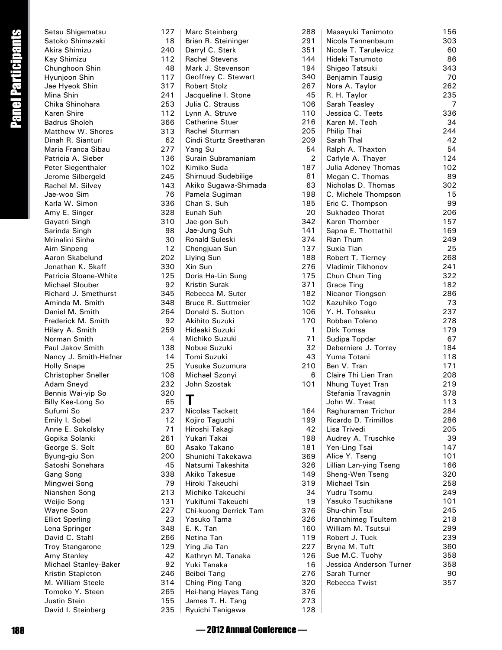|                           | Setsu Shigematsu                      | 127        | Marc Steinberg                             | 288                 |
|---------------------------|---------------------------------------|------------|--------------------------------------------|---------------------|
|                           | Satoko Shimazaki                      | 18         | Brian R. Steininger                        | 291                 |
|                           | Akira Shimizu                         | 240        | Darryl C. Sterk                            | 351                 |
|                           | Kay Shimizu                           | 112        | <b>Rachel Stevens</b>                      | 144                 |
|                           | Chunghoon Shin                        | 48         | Mark J. Stevenson                          | 194                 |
| <b>Panel Participants</b> | Hyunjoon Shin                         | 117<br>317 | Geoffrey C. Stewart<br><b>Robert Stolz</b> | 340<br>267          |
|                           | Jae Hyeok Shin<br>Mina Shin           | 241        | Jacqueline I. Stone                        | 45                  |
|                           | Chika Shinohara                       | 253        | Julia C. Strauss                           | 106                 |
|                           | Karen Shire                           | 112        | Lynn A. Struve                             | 110                 |
|                           | <b>Badrus Sholeh</b>                  | 366        | <b>Catherine Stuer</b>                     | 216                 |
|                           | Matthew W. Shores                     | 313        | Rachel Sturman                             | 205                 |
|                           | Dinah R. Sianturi                     | 62         | Cindi Sturtz Sreetharan                    | 209                 |
|                           | Maria Franca Sibau                    | 277        | Yang Su                                    | 54                  |
|                           | Patricia A. Sieber                    | 136        | Surain Subramaniam                         | $\overline{2}$      |
|                           | Peter Siegenthaler                    | 102        | Kimiko Suda                                | 187                 |
|                           | Jerome Silbergeld                     | 245        | Shirnuud Sudebilige                        | 81                  |
|                           | Rachel M. Silvey                      | 143        | Akiko Sugawa-Shimada                       | 63                  |
|                           | Jae-woo Sim<br>Karla W. Simon         | 76<br>336  | Pamela Sugiman<br>Chan S. Suh              | 198<br>185          |
|                           | Amy E. Singer                         | 328        | Eunah Suh                                  | 20                  |
|                           | Gayatri Singh                         | 310        | Jae-gon Suh                                | 342                 |
|                           | Sarinda Singh                         | 98         | Jae-Jung Suh                               | 141                 |
|                           | Mrinalini Sinha                       | 30         | Ronald Suleski                             | 374                 |
|                           | Aim Sinpeng                           | 12         | Chengjuan Sun                              | 137                 |
|                           | Aaron Skabelund                       | 202        | Liying Sun                                 | 188                 |
|                           | Jonathan K. Skaff                     | 330        | Xin Sun                                    | 276                 |
|                           | Patricia Sloane-White                 | 125        | Doris Ha-Lin Sung                          | 175                 |
|                           | Michael Slouber                       | 92         | <b>Kristin Surak</b>                       | 371                 |
|                           | Richard J. Smethurst                  | 345        | Rebecca M. Suter                           | 182                 |
|                           | Aminda M. Smith                       | 348        | Bruce R. Suttmeier                         | 102                 |
|                           | Daniel M. Smith                       | 264<br>92  | Donald S. Sutton<br>Akihito Suzuki         | 106                 |
|                           | Frederick M. Smith<br>Hilary A. Smith | 259        | Hideaki Suzuki                             | 170<br>$\mathbf{1}$ |
|                           | Norman Smith                          | 4          | Michiko Suzuki                             | 71                  |
|                           | Paul Jakov Smith                      | 138        | Nobue Suzuki                               | 32                  |
|                           | Nancy J. Smith-Hefner                 | 14         | Tomi Suzuki                                | 43                  |
|                           | <b>Holly Snape</b>                    | 25         | Yusuke Suzumura                            | 210                 |
|                           | <b>Christopher Sneller</b>            | 108        | Michael Szonyi                             | 6                   |
|                           | Adam Sneyd                            | 232        | John Szostak                               | 101                 |
|                           | Bennis Wai-yip So                     | 320        | -                                          |                     |
|                           | Billy Kee-Long So                     | 65         | п                                          |                     |
|                           | Sufumi So                             | 237        | Nicolas Tackett                            | 164                 |
|                           | Emily I. Sobel                        | 12<br>71   | Kojiro Taguchi                             | 199                 |
|                           | Anne E. Sokolsky                      | 261        | Hiroshi Takagi<br>Yukari Takai             | 42<br>198           |
|                           | Gopika Solanki<br>George S. Solt      | 60         | Asako Takano                               | 181                 |
|                           | Byung-giu Son                         | 200        | Shunichi Takekawa                          | 369                 |
|                           | Satoshi Sonehara                      | 45         | Natsumi Takeshita                          | 326                 |
|                           | Gang Song                             | 338        | Akiko Takesue                              | 149                 |
|                           | Mingwei Song                          | 79         | Hiroki Takeuchi                            | 319                 |
|                           | Nianshen Song                         | 213        | Michiko Takeuchi                           | 34                  |
|                           | Weijie Song                           | 131        | Yukifumi Takeuchi                          | 19                  |
|                           | Wayne Soon                            | 227        | Chi-kuong Derrick Tam                      | 376                 |
|                           | <b>Elliot Sperling</b>                | 23         | Yasuko Tama                                | 326                 |
|                           | Lena Springer                         | 348        | E. K. Tan                                  | 160                 |
|                           | David C. Stahl                        | 266<br>129 | Netina Tan<br>Ying Jia Tan                 | 119<br>227          |
|                           | <b>Troy Stangarone</b><br>Amy Stanley | 42         | Kathryn M. Tanaka                          | 126                 |
|                           | Michael Stanley-Baker                 | 92         | Yuki Tanaka                                | 16                  |
|                           | Kristin Stapleton                     | 246        | Beibei Tang                                | 276                 |
|                           | M. William Steele                     | 314        | Ching-Ping Tang                            | 320                 |
|                           | Tomoko Y. Steen                       | 265        | Hei-hang Hayes Tang                        | 376                 |
|                           | <b>Justin Stein</b>                   | 155        | James T. H. Tang                           | 273                 |
|                           | David I. Steinberg                    | 235        | Ryuichi Tanigawa                           | 128                 |
| 188                       |                                       |            | -2012 Annual Conference -                  |                     |
|                           |                                       |            |                                            |                     |

| 8                       | Masayuki Tanimoto                         | 156        |
|-------------------------|-------------------------------------------|------------|
| 1                       | Nicola Tannenbaum                         | 303        |
| 1                       | Nicole T. Tarulevicz                      | 60         |
| 4                       | Hideki Tarumoto                           | 86         |
| 4                       | Shigeo Tatsuki                            | 343        |
| 0                       | Benjamin Tausig                           | 70         |
| 7                       | Nora A. Taylor                            | 262        |
| 5                       | R. H. Taylor                              | 235        |
| 6                       | Sarah Teasley                             | 7          |
| 0                       | Jessica C. Teets                          | 336        |
| 6                       | Karen M. Teoh                             | 34         |
| 5                       | Philip Thai                               | 244        |
| 9                       | Sarah Thal                                | 42         |
| 4                       | Ralph A. Thaxton                          | 54         |
| $\overline{c}$          | Carlyle A. Thayer                         | 124        |
| 7                       | Julia Adeney Thomas                       | 102        |
| 1                       | Megan C. Thomas                           | 89         |
| 3                       | Nicholas D. Thomas<br>C. Michele Thompson | 302<br>15  |
| 8                       |                                           |            |
| 5<br>0                  | Eric C. Thompson<br>Sukhadeo Thorat       | 99<br>206  |
| 2                       | Karen Thornber                            | 157        |
| 1                       | Sapna E. Thottathil                       | 169        |
| 4                       | Rian Thum                                 | 249        |
| 7                       | Suxia Tian                                | 25         |
| 8                       | Robert T. Tierney                         | 268        |
| 6                       | Vladimir Tikhonov                         | 241        |
| 5                       | Chun Chun Ting                            | 322        |
| 1                       | <b>Grace Ting</b>                         | 182        |
| 2                       | Nicanor Tiongson                          | 286        |
| 2                       | Kazuhiko Togo                             | 73         |
| 6                       | Y. H. Tohsaku                             | 237        |
| 0                       | Robban Toleno                             | 278        |
| 1                       | Dirk Tomsa                                | 179        |
| 1                       | Sudipa Topdar                             | 67         |
| 2                       | Deberniere J. Torrey                      | 184        |
| 3                       | Yuma Totani                               | 118        |
| 0                       | Ben V. Tran                               | 171        |
| 6                       | Claire Thi Lien Tran                      | 208        |
| 1                       | Nhung Tuyet Tran                          | 219        |
|                         | Stefania Travagnin                        | 378        |
|                         | John W. Treat                             | 113        |
| 4                       | Raghuraman Trichur                        | 284        |
| 9                       | Ricardo D. Trimillos                      | 286        |
| $\overline{\mathbf{c}}$ | Lisa Trivedi                              | 205        |
| 8                       | Audrey A. Truschke                        | 39         |
| 1                       | Yen-Ling Tsai                             | 147        |
| 9                       | Alice Y. Tseng                            | 101        |
| 6                       | Lillian Lan-ying Tseng                    | 166        |
| 9                       | Sheng-Wen Tseng                           | 320        |
| 9                       | <b>Michael Tsin</b>                       | 258        |
| 4                       | Yudru Tsomu                               | 249        |
| 9                       | Yasuko Tsuchikane                         | 101        |
| 6                       | Shu-chin Tsui                             | 245        |
| 6                       | <b>Uranchimeg Tsultem</b>                 | 218        |
| 0                       | William M. Tsutsui                        | 299        |
| 9                       | Robert J. Tuck                            | 239        |
| 7                       | Bryna M. Tuft                             | 360        |
| 6<br>6                  | Sue M.C. Tuohy<br>Jessica Anderson Turner | 358<br>358 |
| 6                       | Sarah Turner                              | 90         |
| 0                       | Rebecca Twist                             | 357        |
| 6                       |                                           |            |
| ⌒                       |                                           |            |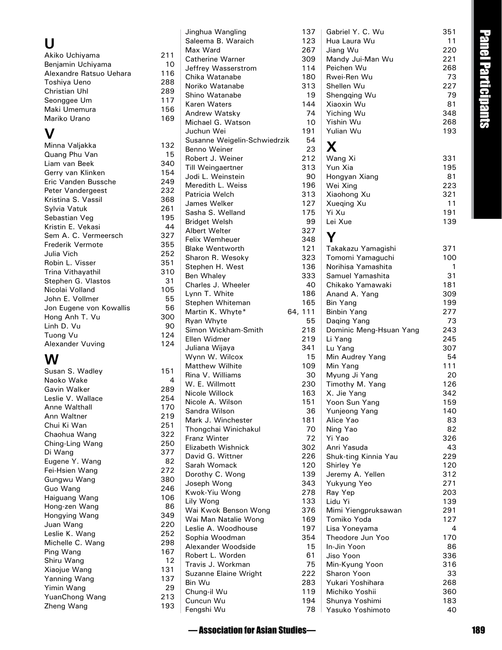## **U**

| Akiko Uchiyama          | 211 |
|-------------------------|-----|
| Benjamin Uchiyama       | 10  |
| Alexandre Ratsuo Uehara | 116 |
| Toshiya Ueno            | 288 |
| Christian Uhl           | 289 |
| Seonggee Um             | 117 |
| Maki Umemura            | 156 |
| Mariko Urano            | 169 |

### **V**

| Minna Valjakka          | 132 |
|-------------------------|-----|
| Quang Phu Van           | 15  |
| Liam van Beek           | 340 |
| Gerry van Klinken       | 154 |
| Eric Vanden Bussche     | 249 |
| Peter Vandergeest       | 232 |
| Kristina S. Vassil      | 368 |
| Sylvia Vatuk            | 261 |
| Sebastian Veg           | 195 |
| Kristin E. Vekasi       | 44  |
| Sem A. C. Vermeersch    | 327 |
| <b>Frederik Vermote</b> | 355 |
| Julia Vich              | 252 |
| Robin L. Visser         | 351 |
| Trina Vithayathil       | 310 |
| Stephen G. Vlastos      | 31  |
| Nicolai Volland         | 105 |
| John E. Vollmer         | 55  |
| Jon Eugene von Kowallis | 56  |
| Hong Anh T. Vu          | 300 |
| Linh D. Vu              | 90  |
| Tuong Vu                | 124 |
| Alexander Vuving        | 124 |
|                         |     |

### **W**

| Susan S. Wadley   | 151 |
|-------------------|-----|
| Naoko Wake        | 4   |
| Gavin Walker      | 289 |
| Leslie V. Wallace | 254 |
| Anne Walthall     | 170 |
| Ann Waltner       | 219 |
| Chui Ki Wan       | 251 |
| Chaohua Wang      | 322 |
| Ching-Ling Wang   | 250 |
| Di Wang           | 377 |
| Eugene Y. Wang    | 82  |
| Fei-Hsien Wang    | 272 |
| Gungwu Wang       | 380 |
| Guo Wang          | 246 |
| Haiguang Wang     | 106 |
| Hong-zen Wang     | 86  |
| Hongying Wang     | 349 |
| Juan Wang         | 220 |
| Leslie K. Wang    | 252 |
| Michelle C. Wang  | 298 |
| Ping Wang         | 167 |
| Shiru Wang        | 12  |
| Xiaojue Wang      | 131 |
| Yanning Wang      | 137 |
| Yimin Wang        | 29  |
| YuanChong Wang    | 213 |
| Zheng Wang        | 193 |

|            | Jinghua Wangling<br>Saleema B. Waraich | 137<br>123 |
|------------|----------------------------------------|------------|
|            | Max Ward                               | 267        |
| 211        | Catherine Warner                       | 309        |
| 10         | Jeffrey Wasserstrom                    | 114        |
| 116        | Chika Watanabe                         | 180        |
| 288        | Noriko Watanabe                        | 313        |
| 289        | Shino Watanabe                         | 19         |
| 117        | Karen Waters                           | 144        |
| 156        | Andrew Watsky                          | 74         |
| 169        | Michael G. Watson                      | 10         |
|            | Juchun Wei                             | 191        |
|            | Susanne Weigelin-Schwiedrzik           | 54         |
| 132<br>15  | Benno Weiner                           | 23         |
| 340        | Robert J. Weiner                       | 212        |
| 154        | <b>Till Weingaertner</b>               | 313        |
| 249        | Jodi L. Weinstein                      | 90         |
| 232        | Meredith L. Weiss                      | 196        |
| 368        | Patricia Welch                         | 313        |
| 261        | James Welker                           | 127        |
| 195        | Sasha S. Welland                       | 175        |
| 44         | <b>Bridget Welsh</b>                   | 99         |
| 327        | Albert Welter                          | 327        |
| 355        | <b>Felix Wemheuer</b>                  | 348        |
| 252        | <b>Blake Wentworth</b>                 | 121        |
| 351        | Sharon R. Wesoky                       | 323        |
| 310        | Stephen H. West                        | 136<br>333 |
| 31         | Ben Whaley<br>Charles J. Wheeler       | 40         |
| 105        | Lynn T. White                          | 186        |
| 55         | Stephen Whiteman                       | 165        |
| 56         | Martin K. Whyte*                       | 64, 111    |
| 300        | Ryan Whyte                             | 55         |
| 90         | Simon Wickham-Smith                    | 218        |
| 124        | Ellen Widmer                           | 219        |
| 124        | Juliana Wijaya                         | 341        |
|            | Wynn W. Wilcox                         | 15         |
|            | <b>Matthew Wilhite</b>                 | 109        |
| 151        | Rina V. Williams                       | 30         |
| 4          | W. E. Willmott                         | 230        |
| 289        | Nicole Willock                         | 163        |
| 254        | Nicole A. Wilson                       | 151        |
| 170<br>219 | Sandra Wilson                          | 36         |
| 251        | Mark J. Winchester                     | 181        |
| 322        | Thongchai Winichakul                   | 70         |
| 250        | <b>Franz Winter</b>                    | 72         |
| 377        | Elizabeth Wishnick                     | 302        |
| 82         | David G. Wittner                       | 226        |
| 272        | Sarah Womack                           | 120        |
| 380        | Dorothy C. Wong                        | 139        |
| 246        | Joseph Wong                            | 343        |
| 106        | Kwok-Yiu Wong                          | 278        |
| 86         | Lily Wong<br>Wai Kwok Benson Wong      | 133<br>376 |
| 349        | Wai Man Natalie Wong                   | 169        |
| 220        | Leslie A. Woodhouse                    | 197        |
| 252        | Sophia Woodman                         | 354        |
| 298        | Alexander Woodside                     | 15         |
| 167        | Robert L. Worden                       | 61         |
| 12         | Travis J. Workman                      | 75         |
| 131        | Suzanne Elaine Wright                  | 222        |
| 137        | Bin Wu                                 | 283        |
| 29         | Chung-il Wu                            | 119        |
| 213        | Cuncun Wu                              | 194        |
| 193        | Fengshi Wu                             | 78         |
|            |                                        |            |

| inghua Wangling                        | 137        | Gabriel Y. C. Wu                  | 351        |                     |
|----------------------------------------|------------|-----------------------------------|------------|---------------------|
| ialeema B. Waraich                     | 123        | Hua Laura Wu                      | 11         | Panel Participan    |
| <b>Aax Ward</b>                        | 267        | Jiang Wu                          | 220        |                     |
| atherine Warner.                       | 309        | Mandy Jui-Man Wu                  | 221        |                     |
| effrey Wasserstrom                     | 114        | Peichen Wu                        | 268        |                     |
| hika Watanabe`                         | 180        | Rwei-Ren Wu                       | 73         |                     |
| loriko Watanabe                        | 313        | Shellen Wu                        | 227        |                     |
| hino Watanabe<br>aren Waters           | 19<br>144  | Shengqing Wu<br>Xiaoxin Wu        | 79<br>81   |                     |
| Andrew Watsky                          | 74         | Yiching Wu                        | 348        |                     |
| lichael G. Watson                      | 10         | Yishin Wu                         | 268        |                     |
| uchun Wei                              | 191        | Yulian Wu                         | 193        | $\overline{\sigma}$ |
| Susanne Weigelin-Schwiedrzik           | 54         |                                   |            |                     |
| <b>Benno Weiner</b>                    | 23         | X                                 |            |                     |
| lobert J. Weiner                       | 212        | Wang Xi                           | 331        |                     |
| ill Weingaertner                       | 313        | Yun Xia                           | 195        |                     |
| odi L. Weinstein                       | 90         | Hongyan Xiang                     | 81         |                     |
| Aeredith L. Weiss                      | 196        | Wei Xing                          | 223        |                     |
| atricia Welch                          | 313        | Xiaohong Xu                       | 321        |                     |
| ames Welker                            | 127        | Xueqing Xu                        | 11         |                     |
| asha S. Welland                        | 175        | Yi Xu                             | 191        |                     |
| <b>Bridget Welsh</b>                   | 99         | Lei Xue                           | 139        |                     |
| <b>Nbert Welter</b>                    | 327        |                                   |            |                     |
| elix Wemheuer                          | 348        | Υ                                 |            |                     |
| <b>Blake Wentworth</b>                 | 121        | Takakazu Yamagishi                | 371        |                     |
| iharon R. Wesoky                       | 323        | Tomomi Yamaguchi                  | 100        |                     |
| itephen H. West                        | 136        | Norihisa Yamashita                | 1          |                     |
| en Whaley                              | 333        | Samuel Yamashita                  | 31         |                     |
| harles J. Wheeler<br>ynn T. White      | 40<br>186  | Chikako Yamawaki<br>Anand A. Yang | 181<br>309 |                     |
| <b>Stephen Whiteman</b>                | 165        | Bin Yang                          | 199        |                     |
| Aartin K. Whyte*                       | 64, 111    | <b>Binbin Yang</b>                | 277        |                     |
| lyan Whyte                             | 55         | Daqing Yang                       | 73         |                     |
| imon Wickham-Smith                     | 218        | Dominic Meng-Hsuan Yang           | 243        |                     |
| Ilen Widmer                            | 219        | Li Yang                           | 245        |                     |
| uliana Wijaya                          | 341        | Lu Yang                           | 307        |                     |
| Vynn W. Wilcox                         | 15         | Min Audrey Yang                   | 54         |                     |
| Aatthew Wilhite                        | 109        | Min Yang                          | 111        |                     |
| lina V. Williams                       | 30         | Myung Ji Yang                     | 20         |                     |
| V. E. Willmott                         | 230        | Timothy M. Yang                   | 126        |                     |
| licole Willock                         | 163        | X. Jie Yang                       | 342        |                     |
| licole A. Wilson                       | 151        | Yoon Sun Yang                     | 159        |                     |
| iandra Wilson                          | 36         | Yunjeong Yang                     | 140        |                     |
| <b><i>Aark J. Winchester</i></b>       | 181        | Alice Yao                         | 83         |                     |
| hongchai Winichakul                    | 70         | Ning Yao                          | 82         |                     |
| ranz Winter                            | 72         | Yi Yao                            | 326        |                     |
| lizabeth Wishnick                      | 302        | Anri Yasuda                       | 43         |                     |
| avid G. Wittner<br><b>Sarah Womack</b> | 226        | Shuk-ting Kinnia Yau              | 229        |                     |
| Oorothy C. Wong                        | 120<br>139 | Shirley Ye<br>Jeremy A. Yellen    | 120<br>312 |                     |
| oseph Wong                             | 343        | Yukyung Yeo                       | 271        |                     |
| wok-Yiu Wong                           | 278        | Ray Yep                           | 203        |                     |
| ily Wong                               | 133        | Lidu Yi                           | 139        |                     |
| Vai Kwok Benson Wong                   | 376        | Mimi Yiengpruksawan               | 291        |                     |
| Vai Man Natalie Wong                   | 169        | Tomiko Yoda                       | 127        |                     |
| eslie A. Woodhouse                     | 197        | Lisa Yoneyama                     | 4          |                     |
| Sophia Woodman                         | 354        | Theodore Jun Yoo                  | 170        |                     |
| <b>Nexander Woodside</b>               | 15         | In-Jin Yoon                       | 86         |                     |
| lobert L. Worden                       | 61         | Jiso Yoon                         | 336        |                     |
| ravis J. Workman                       | 75         | Min-Kyung Yoon                    | 316        |                     |
| Suzanne Elaine Wright                  | 222        | Sharon Yoon                       | 33         |                     |
| in Wu                                  | 283        | Yukari Yoshihara                  | 268        |                     |
| hung-il Wu                             | 119        | Michiko Yoshii                    | 360        |                     |
| Cuncun Wu                              | 194        | Shunya Yoshimi                    | 183        |                     |
| engshi Wu                              | 78         | Yasuko Yoshimoto                  | 40         |                     |
|                                        |            |                                   |            |                     |
| — Association for Asian Studies—       |            |                                   |            | 189                 |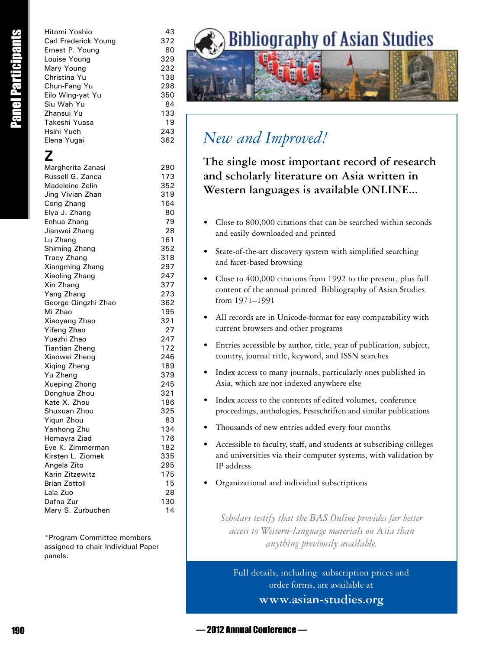Example the state of the state of the state of the state of the state and the state of the state of the state of the state of the state of the state of the state of the state of the state of the state of the state of the Hitomi Yoshio 43 Carl Frederick Young 372 Ernest P. Young 80 Louise Young 329 Mary Young 232 Christina Yu 138 Chun-Fang Yu 298 Eilo Wing-yat Yu 350 Siu Wah Yu 84 Zhansui Yu 133 Takeshi Yuasa 19 Hsini Yueh 243 Elena Yugai 362 **Z** Margherita Zanasi 280 Russell G. Zanca 173 Madeleine Zelin 352 Jing Vivian Zhan 319 Cong Zhang 164 Elya J. Zhang 80 Enhua Zhang 79 Jianwei Zhang 28 Lu Zhang 161 Shiming Zhang 352 Tracy Zhang 318 Xiangming Zhang 297 Xiaoling Zhang 247 Xin Zhang 377 Yang Zhang 273 George Qingzhi Zhao 362 Mi Zhao 195 Xiaoyang Zhao 321 Yifeng Zhao 27 Yuezhi Zhao 247 Tiantian Zheng 172 Xiaowei Zheng 246 Xiqing Zheng 189 Yu Zheng 379 Xueping Zhong 245 Donghua Zhou 321 Kate X. Zhou 186 Shuxuan Zhou 325 Yigun Zhou 83 Yanhong Zhu 134 Homayra Ziad 176 Eve K. Zimmerman 182 Kirsten L. Ziomek 335 Angela Zito 295 Karin Zitzewitz 175 Brian Zottoli 15 Lala Zuo 28 Dafna Zur 130

\*Program Committee members assigned to chair Individual Paper panels.

Mary S. Zurbuchen 14



# *New and Improved!*

**The single most important record of research and scholarly literature on Asia written in Western languages is available ONLINE...**

- Close to 800,000 citations that can be searched within seconds and easily downloaded and printed
- State-of-the-art discovery system with simplified searching and facet-based browsing
- Close to 400,000 citations from 1992 to the present, plus full content of the annual printed Bibliography of Asian Studies from 1971–1991
- All records are in Unicode-format for easy compatability with current browsers and other programs
- Entries accessible by author, title, year of publication, subject, country, journal title, keyword, and ISSN searches
- Index access to many journals, particularly ones published in Asia, which are not indexed anywhere else
- Index access to the contents of edited volumes, conference proceedings, anthologies, Festschriften and similar publications
- Thousands of new entries added every four months
- Accessible to faculty, staff, and students at subscribing colleges and universities via their computer systems, with validation by IP address
- Organizational and individual subscriptions

*Scholars testify that the BAS Online provides far better access to Western-language materials on Asia than anything previously available.*

Full details, including subscription prices and order forms, are available at **www.asian-studies.org**